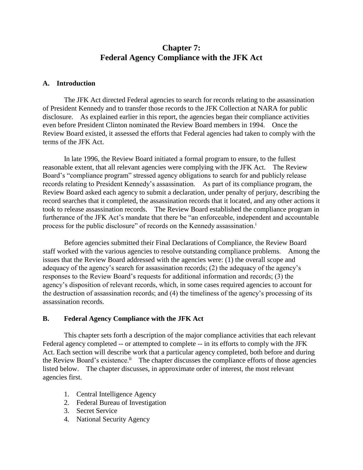# **Chapter 7: Federal Agency Compliance with the JFK Act**

## **A. Introduction**

The JFK Act directed Federal agencies to search for records relating to the assassination of President Kennedy and to transfer those records to the JFK Collection at NARA for public disclosure. As explained earlier in this report, the agencies began their compliance activities even before President Clinton nominated the Review Board members in 1994. Once the Review Board existed, it assessed the efforts that Federal agencies had taken to comply with the terms of the JFK Act.

In late 1996, the Review Board initiated a formal program to ensure, to the fullest reasonable extent, that all relevant agencies were complying with the JFK Act. The Review Board's "compliance program" stressed agency obligations to search for and publicly release records relating to President Kennedy's assassination. As part of its compliance program, the Review Board asked each agency to submit a declaration, under penalty of perjury, describing the record searches that it completed, the assassination records that it located, and any other actions it took to release assassination records. The Review Board established the compliance program in furtherance of the JFK Act's mandate that there be "an enforceable, independent and accountable process for the public disclosure" of records on the Kennedy assassination.<sup>i</sup>

Before agencies submitted their Final Declarations of Compliance, the Review Board staff worked with the various agencies to resolve outstanding compliance problems. Among the issues that the Review Board addressed with the agencies were: (1) the overall scope and adequacy of the agency's search for assassination records; (2) the adequacy of the agency's responses to the Review Board's requests for additional information and records; (3) the agency's disposition of relevant records, which, in some cases required agencies to account for the destruction of assassination records; and (4) the timeliness of the agency's processing of its assassination records.

#### **B. Federal Agency Compliance with the JFK Act**

This chapter sets forth a description of the major compliance activities that each relevant Federal agency completed -- or attempted to complete -- in its efforts to comply with the JFK Act. Each section will describe work that a particular agency completed, both before and during the Review Board's existence.<sup>ii</sup> The chapter discusses the compliance efforts of those agencies listed below. The chapter discusses, in approximate order of interest, the most relevant agencies first.

- 1. Central Intelligence Agency
- 2. Federal Bureau of Investigation
- 3. Secret Service
- 4. National Security Agency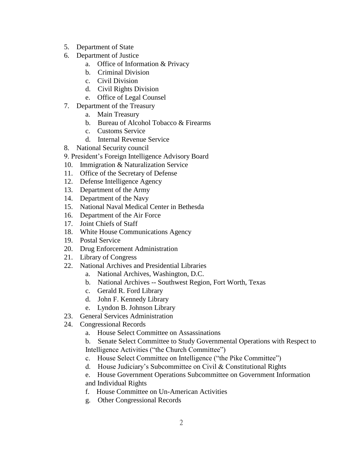- 5. Department of State
- 6. Department of Justice
	- a. Office of Information & Privacy
	- b. Criminal Division
	- c. Civil Division
	- d. Civil Rights Division
	- e. Office of Legal Counsel
- 7. Department of the Treasury
	- a. Main Treasury
	- b. Bureau of Alcohol Tobacco & Firearms
	- c. Customs Service
	- d. Internal Revenue Service
- 8. National Security council
- 9. President's Foreign Intelligence Advisory Board
- 10. Immigration & Naturalization Service
- 11. Office of the Secretary of Defense
- 12. Defense Intelligence Agency
- 13. Department of the Army
- 14. Department of the Navy
- 15. National Naval Medical Center in Bethesda
- 16. Department of the Air Force
- 17. Joint Chiefs of Staff
- 18. White House Communications Agency
- 19. Postal Service
- 20. Drug Enforcement Administration
- 21. Library of Congress
- 22. National Archives and Presidential Libraries
	- a. National Archives, Washington, D.C.
	- b. National Archives -- Southwest Region, Fort Worth, Texas
	- c. Gerald R. Ford Library
	- d. John F. Kennedy Library
	- e. Lyndon B. Johnson Library
- 23. General Services Administration
- 24. Congressional Records
	- a. House Select Committee on Assassinations
	- b. Senate Select Committee to Study Governmental Operations with Respect to Intelligence Activities ("the Church Committee")
	- c. House Select Committee on Intelligence ("the Pike Committee")
	- d. House Judiciary's Subcommittee on Civil & Constitutional Rights
	- e. House Government Operations Subcommittee on Government Information and Individual Rights
	- f. House Committee on Un-American Activities
	- g. Other Congressional Records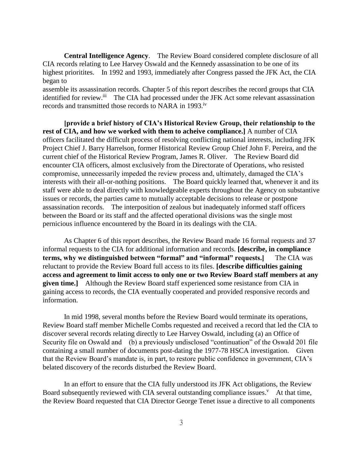**Central Intelligence Agency**. The Review Board considered complete disclosure of all CIA records relating to Lee Harvey Oswald and the Kennedy assassination to be one of its highest prioritites. In 1992 and 1993, immediately after Congress passed the JFK Act, the CIA began to

assemble its assassination records. Chapter 5 of this report describes the record groups that CIA identified for review.<sup>iii</sup> The CIA had processed under the JFK Act some relevant assassination records and transmitted those records to NARA in 1993.<sup>iv</sup>

**[provide a brief history of CIA's Historical Review Group, their relationship to the rest of CIA, and how we worked with them to acheive compliance.]** A number of CIA officers facilitated the difficult process of resolving conflicting national interests, including JFK Project Chief J. Barry Harrelson, former Historical Review Group Chief John F. Pereira, and the current chief of the Historical Review Program, James R. Oliver. The Review Board did encounter CIA officers, almost exclusively from the Directorate of Operations, who resisted compromise, unnecessarily impeded the review process and, ultimately, damaged the CIA's interests with their all-or-nothing positions. The Board quickly learned that, whenever it and its staff were able to deal directly with knowledgeable experts throughout the Agency on substantive issues or records, the parties came to mutually acceptable decisions to release or postpone assassination records. The interposition of zealous but inadequately informed staff officers between the Board or its staff and the affected operational divisions was the single most pernicious influence encountered by the Board in its dealings with the CIA.

As Chapter 6 of this report describes, the Review Board made 16 formal requests and 37 informal requests to the CIA for additional information and records. **[describe, in compliance terms, why we distinguished between "formal" and "informal" requests.]** The CIA was reluctant to provide the Review Board full access to its files. **[describe difficulties gaining access and agreement to limit access to only one or two Review Board staff members at any given time.]** Although the Review Board staff experienced some resistance from CIA in gaining access to records, the CIA eventually cooperated and provided responsive records and information.

In mid 1998, several months before the Review Board would terminate its operations, Review Board staff member Michelle Combs requested and received a record that led the CIA to discover several records relating directly to Lee Harvey Oswald, including (a) an Office of Security file on Oswald and (b) a previously undisclosed "continuation" of the Oswald 201 file containing a small number of documents post-dating the 1977-78 HSCA investigation. Given that the Review Board's mandate is, in part, to restore public confidence in government, CIA's belated discovery of the records disturbed the Review Board.

In an effort to ensure that the CIA fully understood its JFK Act obligations, the Review Board subsequently reviewed with CIA several outstanding compliance issues.<sup>v</sup> At that time, the Review Board requested that CIA Director George Tenet issue a directive to all components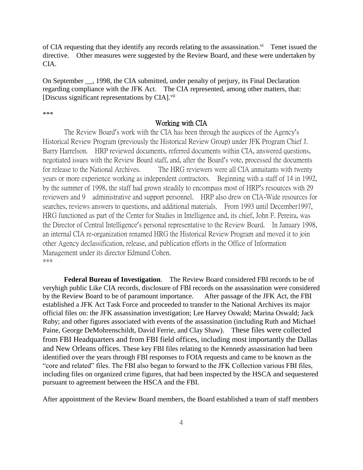of CIA requesting that they identify any records relating to the assassination. $\overline{v}$  Tenet issued the directive. Other measures were suggested by the Review Board, and these were undertaken by CIA.

On September \_\_, 1998, the CIA submitted, under penalty of perjury, its Final Declaration regarding compliance with the JFK Act. The CIA represented, among other matters, that: [Discuss significant representations by CIA].<sup>vii</sup>

\*\*\*

## Working with CIA

The Review Board's work with the CIA has been through the auspices of the Agency's Historical Review Program (previously the Historical Review Group) under JFK Program Chief J. Barry Harrelson. HRP reviewed documents, referred documents within CIA, answered questions, negotiated issues with the Review Board staff, and, after the Board's vote, processed the documents for release to the National Archives. The HRG reviewers were all CIA annuitants with twenty years or more experience working as independent contractors. Beginning with a staff of 14 in 1992, by the summer of 1998, the staff had grown steadily to encompass most of HRP's resources with 29 reviewers and 9 administrative and support personnel. HRP also drew on CIA-Wide resources for searches, reviews answers to questions, and additional materials. From 1993 until December1997, HRG functioned as part of the Center for Studies in Intelligence and, its chief, John F. Pereira, was the Director of Central Intelligence's personal representative to the Review Board. In January 1998, an internal CIA re-organization renamed HRG the Historical Review Program and moved it to join other Agency declassification, release, and publication efforts in the Office of Information Management under its director Edmund Cohen. \*\*\*

**Federal Bureau of Investigation**. The Review Board considered FBI records to be of veryhigh public Like CIA records, disclosure of FBI records on the assassination were considered by the Review Board to be of paramount importance. After passage of the JFK Act, the FBI established a JFK Act Task Force and proceeded to transfer to the National Archives its major official files on: the JFK assassination investigation; Lee Harvey Oswald; Marina Oswald; Jack Ruby; and other figures associated with events of the assassination (including Ruth and Michael Paine, George DeMohrenschildt, David Ferrie, and Clay Shaw). These files were collected from FBI Headquarters and from FBI field offices, including most importantly the Dallas and New Orleans offices. These key FBI files relating to the Kennedy assassination had been identified over the years through FBI responses to FOIA requests and came to be known as the "core and related" files. The FBI also began to forward to the JFK Collection various FBI files, including files on organized crime figures, that had been inspected by the HSCA and sequestered pursuant to agreement between the HSCA and the FBI.

After appointment of the Review Board members, the Board established a team of staff members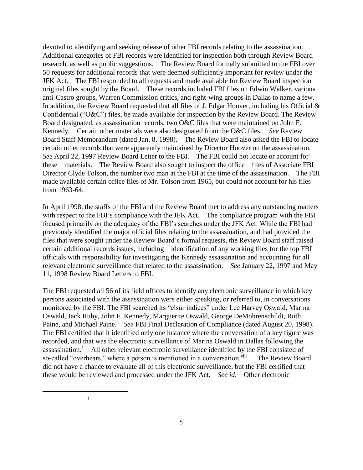devoted to identifying and seeking release of other FBI records relating to the assassination. Additional categories of FBI records were identified for inspection both through Review Board research, as well as public suggestions. The Review Board formally submitted to the FBI over 50 requests for additional records that were deemed sufficiently important for review under the JFK Act. The FBI responded to all requests and made available for Review Board inspection original files sought by the Board. These records included FBI files on Edwin Walker, various anti-Castro groups, Warren Commission critics, and right-wing groups in Dallas to name a few. In addition, the Review Board requested that all files of J. Edgar Hoover, including his Official  $\&$ Confidential ("O&C") files, be made available for inspection by the Review Board. The Review Board designated, as assassination records, two O&C files that were maintained on John F. Kennedy. Certain other materials were also designated from the O&C files. *See* Review Board Staff Memorandum (dated Jan. 8, 1998). The Review Board also asked the FBI to locate certain other records that were apparently maintained by Director Hoover on the assassination. *See* April 22, 1997 Review Board Letter to the FBI. The FBI could not locate or account for these materials. The Review Board also sought to inspect the office files of Associate FBI Director Clyde Tolson, the number two man at the FBI at the time of the assassination. The FBI made available certain office files of Mr. Tolson from 1965, but could not account for his files from 1963-64.

In April 1998, the staffs of the FBI and the Review Board met to address any outstanding matters with respect to the FBI's compliance with the JFK Act. The compliance program with the FBI focused primarily on the adequacy of the FBI's searches under the JFK Act. While the FBI had previously identified the major official files relating to the assassination, and had provided the files that were sought under the Review Board's formal requests, the Review Board staff raised certain additional records issues, including identification of any working files for the top FBI officials with responsibility for investigating the Kennedy assassination and accounting for all relevant electronic surveillance that related to the assassination. *See* January 22, 1997 and May 11, 1998 Review Board Letters to FBI.

The FBI requested all 56 of its field offices to identify any electronic surveillance in which key persons associated with the assassination were either speaking, or referred to, in conversations monitored by the FBI. The FBI searched its "elsur indices" under Lee Harvey Oswald, Marina Oswald, Jack Ruby, John F. Kennedy, Marguerite Oswald, George DeMohrenschildt, Ruth Paine, and Michael Paine. *See* FBI Final Declaration of Compliance (dated August 20, 1998). The FBI certified that it identified only one instance where the conversation of a key figure was recorded, and that was the electronic surveillance of Marina Oswald in Dallas following the  $assassination.<sup>1</sup>$  All other relevant electronic surveillance identified by the FBI consisted of so-called "overhears," where a person is mentioned in a conversation.<sup>viii</sup> The Review Board did not have a chance to evaluate all of this electronic surveillance, but the FBI certified that these would be reviewed and processed under the JFK Act. *See id*. Other electronic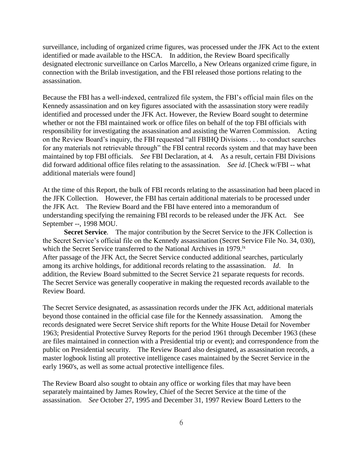surveillance, including of organized crime figures, was processed under the JFK Act to the extent identified or made available to the HSCA. In addition, the Review Board specifically designated electronic surveillance on Carlos Marcello, a New Orleans organized crime figure, in connection with the Brilab investigation, and the FBI released those portions relating to the assassination.

Because the FBI has a well-indexed, centralized file system, the FBI's official main files on the Kennedy assassination and on key figures associated with the assassination story were readily identified and processed under the JFK Act. However, the Review Board sought to determine whether or not the FBI maintained work or office files on behalf of the top FBI officials with responsibility for investigating the assassination and assisting the Warren Commission. Acting on the Review Board's inquiry, the FBI requested "all FBIHQ Divisions . . . to conduct searches for any materials not retrievable through" the FBI central records system and that may have been maintained by top FBI officials. *See* FBI Declaration, at 4. As a result, certain FBI Divisions did forward additional office files relating to the assassination. *See id*. [Check w/FBI -- what additional materials were found]

At the time of this Report, the bulk of FBI records relating to the assassination had been placed in the JFK Collection. However, the FBI has certain additional materials to be processed under the JFK Act. The Review Board and the FBI have entered into a memorandum of understanding specifying the remaining FBI records to be released under the JFK Act. See September --, 1998 MOU.

**Secret Service**. The major contribution by the Secret Service to the JFK Collection is the Secret Service's official file on the Kennedy assassination (Secret Service File No. 34, 030), which the Secret Service transferred to the National Archives in 1979.<sup>ix</sup> After passage of the JFK Act, the Secret Service conducted additional searches, particularly among its archive holdings, for additional records relating to the assassination. *Id*. In addition, the Review Board submitted to the Secret Service 21 separate requests for records. The Secret Service was generally cooperative in making the requested records available to the Review Board.

The Secret Service designated, as assassination records under the JFK Act, additional materials beyond those contained in the official case file for the Kennedy assassination. Among the records designated were Secret Service shift reports for the White House Detail for November 1963; Presidential Protective Survey Reports for the period 1961 through December 1963 (these are files maintained in connection with a Presidential trip or event); and correspondence from the public on Presidential security. The Review Board also designated, as assassination records, a master logbook listing all protective intelligence cases maintained by the Secret Service in the early 1960's, as well as some actual protective intelligence files.

The Review Board also sought to obtain any office or working files that may have been separately maintained by James Rowley, Chief of the Secret Service at the time of the assassination. *See* October 27, 1995 and December 31, 1997 Review Board Letters to the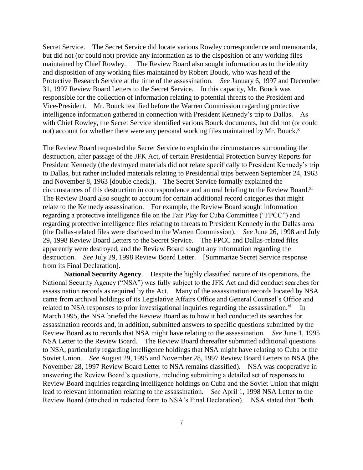Secret Service. The Secret Service did locate various Rowley correspondence and memoranda, but did not (or could not) provide any information as to the disposition of any working files maintained by Chief Rowley. The Review Board also sought information as to the identity and disposition of any working files maintained by Robert Bouck, who was head of the Protective Research Service at the time of the assassination. *See* January 6, 1997 and December 31, 1997 Review Board Letters to the Secret Service. In this capacity, Mr. Bouck was responsible for the collection of information relating to potential threats to the President and Vice-President. Mr. Bouck testified before the Warren Commission regarding protective intelligence information gathered in connection with President Kennedy's trip to Dallas. As with Chief Rowley, the Secret Service identified various Bouck documents, but did not (or could not) account for whether there were any personal working files maintained by Mr. Bouck.<sup>x</sup>

The Review Board requested the Secret Service to explain the circumstances surrounding the destruction, after passage of the JFK Act, of certain Presidential Protection Survey Reports for President Kennedy (the destroyed materials did not relate specifically to President Kennedy's trip to Dallas, but rather included materials relating to Presidential trips between September 24, 1963 and November 8, 1963 [double check]). The Secret Service formally explained the circumstances of this destruction in correspondence and an oral briefing to the Review Board.<sup>xi</sup> The Review Board also sought to account for certain additional record categories that might relate to the Kennedy assassination. For example, the Review Board sought information regarding a protective intelligence file on the Fair Play for Cuba Committee ("FPCC") and regarding protective intelligence files relating to threats to President Kennedy in the Dallas area (the Dallas-related files were disclosed to the Warren Commission). *See* June 26, 1998 and July 29, 1998 Review Board Letters to the Secret Service. The FPCC and Dallas-related files apparently were destroyed, and the Review Board sought any information regarding the destruction. *See* July 29, 1998 Review Board Letter. [Summarize Secret Service response from its Final Declaration].

**National Security Agency**. Despite the highly classified nature of its operations, the National Security Agency ("NSA") was fully subject to the JFK Act and did conduct searches for assassination records as required by the Act. Many of the assassination records located by NSA came from archival holdings of its Legislative Affairs Office and General Counsel's Office and related to NSA responses to prior investigational inquiries regarding the assassination.<sup>xii</sup> In March 1995, the NSA briefed the Review Board as to how it had conducted its searches for assassination records and, in addition, submitted answers to specific questions submitted by the Review Board as to records that NSA might have relating to the assassination. *See* June 1, 1995 NSA Letter to the Review Board. The Review Board thereafter submitted additional questions to NSA, particularly regarding intelligence holdings that NSA might have relating to Cuba or the Soviet Union. *See* August 29, 1995 and November 28, 1997 Review Board Letters to NSA (the November 28, 1997 Review Board Letter to NSA remains classified). NSA was cooperative in answering the Review Board's questions, including submitting a detailed set of responses to Review Board inquiries regarding intelligence holdings on Cuba and the Soviet Union that might lead to relevant information relating to the assassination. *See* April 1, 1998 NSA Letter to the Review Board (attached in redacted form to NSA's Final Declaration). NSA stated that "both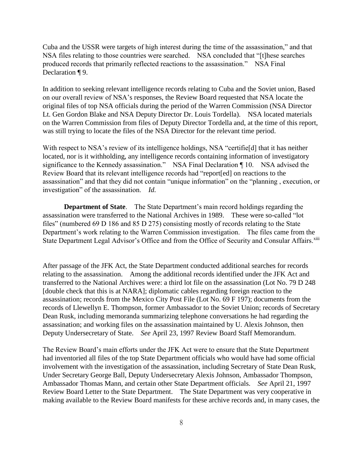Cuba and the USSR were targets of high interest during the time of the assassination," and that NSA files relating to those countries were searched. NSA concluded that "[t]hese searches produced records that primarily reflected reactions to the assassination." NSA Final Declaration ¶ 9.

In addition to seeking relevant intelligence records relating to Cuba and the Soviet union, Based on our overall review of NSA's responses, the Review Board requested that NSA locate the original files of top NSA officials during the period of the Warren Commission (NSA Director Lt. Gen Gordon Blake and NSA Deputy Director Dr. Louis Tordella). NSA located materials on the Warren Commission from files of Deputy Director Tordella and, at the time of this report, was still trying to locate the files of the NSA Director for the relevant time period.

With respect to NSA's review of its intelligence holdings, NSA "certifield that it has neither located, nor is it withholding, any intelligence records containing information of investigatory significance to the Kennedy assassination." NSA Final Declaration ¶ 10. NSA advised the Review Board that its relevant intelligence records had "report[ed] on reactions to the assassination" and that they did not contain "unique information" on the "planning , execution, or investigation" of the assassination. *Id.*

**Department of State**. The State Department's main record holdings regarding the assassination were transferred to the National Archives in 1989. These were so-called "lot files" (numbered 69 D 186 and 85 D 275) consisting mostly of records relating to the State Department's work relating to the Warren Commission investigation. The files came from the State Department Legal Advisor's Office and from the Office of Security and Consular Affairs.<sup>xiii</sup>

After passage of the JFK Act, the State Department conducted additional searches for records relating to the assassination. Among the additional records identified under the JFK Act and transferred to the National Archives were: a third lot file on the assassination (Lot No. 79 D 248 [double check that this is at NARA]; diplomatic cables regarding foreign reaction to the assassination; records from the Mexico City Post File (Lot No. 69 F 197); documents from the records of Llewellyn E. Thompson, former Ambassador to the Soviet Union; records of Secretary Dean Rusk, including memoranda summarizing telephone conversations he had regarding the assassination; and working files on the assassination maintained by U. Alexis Johnson, then Deputy Undersecretary of State. *See* April 23, 1997 Review Board Staff Memorandum.

The Review Board's main efforts under the JFK Act were to ensure that the State Department had inventoried all files of the top State Department officials who would have had some official involvement with the investigation of the assassination, including Secretary of State Dean Rusk, Under Secretary George Ball, Deputy Undersecretary Alexis Johnson, Ambassador Thompson, Ambassador Thomas Mann, and certain other State Department officials. *See* April 21, 1997 Review Board Letter to the State Department. The State Department was very cooperative in making available to the Review Board manifests for these archive records and, in many cases, the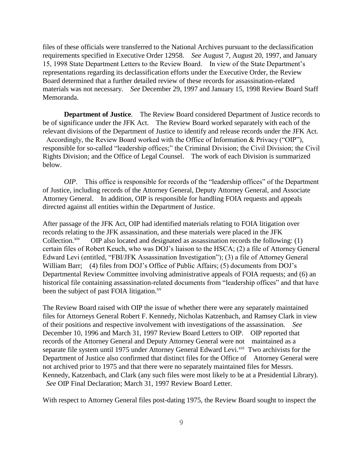files of these officials were transferred to the National Archives pursuant to the declassification requirements specified in Executive Order 12958. *See* August 7, August 20, 1997, and January 15, 1998 State Department Letters to the Review Board. In view of the State Department's representations regarding its declassification efforts under the Executive Order, the Review Board determined that a further detailed review of these records for assassination-related materials was not necessary. *See* December 29, 1997 and January 15, 1998 Review Board Staff Memoranda.

**Department of Justice**. The Review Board considered Department of Justice records to be of significance under the JFK Act. The Review Board worked separately with each of the relevant divisions of the Department of Justice to identify and release records under the JFK Act. Accordingly, the Review Board worked with the Office of Information & Privacy ("OIP"), responsible for so-called "leadership offices;" the Criminal Division; the Civil Division; the Civil Rights Division; and the Office of Legal Counsel. The work of each Division is summarized below.

*OIP*. This office is responsible for records of the "leadership offices" of the Department of Justice, including records of the Attorney General, Deputy Attorney General, and Associate Attorney General. In addition, OIP is responsible for handling FOIA requests and appeals directed against all entities within the Department of Justice.

After passage of the JFK Act, OIP had identified materials relating to FOIA litigation over records relating to the JFK assassination, and these materials were placed in the JFK Collection.<sup>xiv</sup> OIP also located and designated as assassination records the following: (1) certain files of Robert Keuch, who was DOJ's liaison to the HSCA; (2) a file of Attorney General Edward Levi (entitled, "FBI/JFK Assassination Investigation"); (3) a file of Attorney General William Barr; (4) files from DOJ's Office of Public Affairs; (5) documents from DOJ's Departmental Review Committee involving administrative appeals of FOIA requests; and (6) an historical file containing assassination-related documents from "leadership offices" and that have been the subject of past FOIA litigation.<sup>xv</sup>

The Review Board raised with OIP the issue of whether there were any separately maintained files for Attorneys General Robert F. Kennedy, Nicholas Katzenbach, and Ramsey Clark in view of their positions and respective involvement with investigations of the assassination. *See* December 10, 1996 and March 31, 1997 Review Board Letters to OIP. OIP reported that records of the Attorney General and Deputy Attorney General were not maintained as a separate file system until 1975 under Attorney General Edward Levi.<sup>xvi</sup> Two archivists for the Department of Justice also confirmed that distinct files for the Office of Attorney General were not archived prior to 1975 and that there were no separately maintained files for Messrs. Kennedy, Katzenbach, and Clark (any such files were most likely to be at a Presidential Library). *See* OIP Final Declaration; March 31, 1997 Review Board Letter.

With respect to Attorney General files post-dating 1975, the Review Board sought to inspect the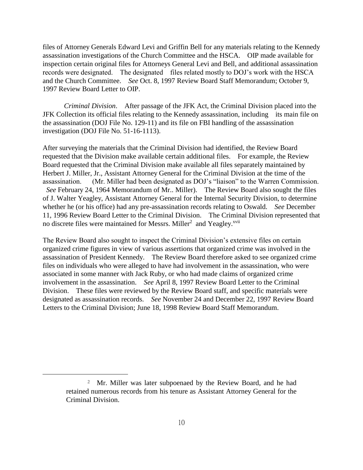files of Attorney Generals Edward Levi and Griffin Bell for any materials relating to the Kennedy assassination investigations of the Church Committee and the HSCA. OIP made available for inspection certain original files for Attorneys General Levi and Bell, and additional assassination records were designated. The designated files related mostly to DOJ's work with the HSCA and the Church Committee. *See* Oct. 8, 1997 Review Board Staff Memorandum; October 9, 1997 Review Board Letter to OIP.

*Criminal Division*. After passage of the JFK Act, the Criminal Division placed into the JFK Collection its official files relating to the Kennedy assassination, including its main file on the assassination (DOJ File No. 129-11) and its file on FBI handling of the assassination investigation (DOJ File No. 51-16-1113).

After surveying the materials that the Criminal Division had identified, the Review Board requested that the Division make available certain additional files. For example, the Review Board requested that the Criminal Division make available all files separately maintained by Herbert J. Miller, Jr., Assistant Attorney General for the Criminal Division at the time of the assassination. (Mr. Miller had been designated as DOJ's "liaison" to the Warren Commission. *See* February 24, 1964 Memorandum of Mr.. Miller). The Review Board also sought the files of J. Walter Yeagley, Assistant Attorney General for the Internal Security Division, to determine whether he (or his office) had any pre-assassination records relating to Oswald. *See* December 11, 1996 Review Board Letter to the Criminal Division. The Criminal Division represented that no discrete files were maintained for Messrs. Miller<sup>2</sup> and Yeagley.<sup>xvii</sup>

The Review Board also sought to inspect the Criminal Division's extensive files on certain organized crime figures in view of various assertions that organized crime was involved in the assassination of President Kennedy. The Review Board therefore asked to see organized crime files on individuals who were alleged to have had involvement in the assassination, who were associated in some manner with Jack Ruby, or who had made claims of organized crime involvement in the assassination. *See* April 8, 1997 Review Board Letter to the Criminal Division. These files were reviewed by the Review Board staff, and specific materials were designated as assassination records. *See* November 24 and December 22, 1997 Review Board Letters to the Criminal Division; June 18, 1998 Review Board Staff Memorandum.

<sup>2</sup> Mr. Miller was later subpoenaed by the Review Board, and he had retained numerous records from his tenure as Assistant Attorney General for the Criminal Division.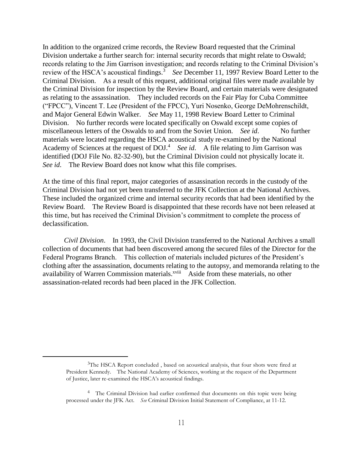In addition to the organized crime records, the Review Board requested that the Criminal Division undertake a further search for: internal security records that might relate to Oswald; records relating to the Jim Garrison investigation; and records relating to the Criminal Division's review of the HSCA's acoustical findings.<sup>3</sup> See December 11, 1997 Review Board Letter to the Criminal Division. As a result of this request, additional original files were made available by the Criminal Division for inspection by the Review Board, and certain materials were designated as relating to the assassination. They included records on the Fair Play for Cuba Committee ("FPCC"), Vincent T. Lee (President of the FPCC), Yuri Nosenko, George DeMohrenschildt, and Major General Edwin Walker. *See* May 11, 1998 Review Board Letter to Criminal Division. No further records were located specifically on Oswald except some copies of miscellaneous letters of the Oswalds to and from the Soviet Union. *See id*. No further materials were located regarding the HSCA acoustical study re-examined by the National Academy of Sciences at the request of DOJ.<sup>4</sup> See id. A file relating to Jim Garrison was identified (DOJ File No. 82-32-90), but the Criminal Division could not physically locate it. *See id*. The Review Board does not know what this file comprises.

At the time of this final report, major categories of assassination records in the custody of the Criminal Division had not yet been transferred to the JFK Collection at the National Archives. These included the organized crime and internal security records that had been identified by the Review Board. The Review Board is disappointed that these records have not been released at this time, but has received the Criminal Division's commitment to complete the process of declassification.

*Civil Division*. In 1993, the Civil Division transferred to the National Archives a small collection of documents that had been discovered among the secured files of the Director for the Federal Programs Branch. This collection of materials included pictures of the President's clothing after the assassination, documents relating to the autopsy, and memoranda relating to the availability of Warren Commission materials.<sup>xviii</sup> Aside from these materials, no other assassination-related records had been placed in the JFK Collection.

<sup>&</sup>lt;sup>3</sup>The HSCA Report concluded, based on acoustical analysis, that four shots were fired at President Kennedy. The National Academy of Sciences, working at the request of the Department of Justice, later re-examined the HSCA's acoustical findings.

<sup>&</sup>lt;sup>4</sup> The Criminal Division had earlier confirmed that documents on this topic were being processed under the JFK Act. *See* Criminal Division Initial Statement of Compliance, at 11-12.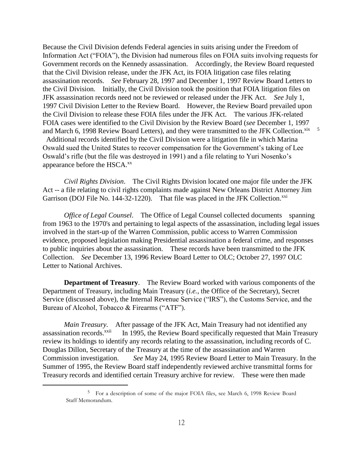Because the Civil Division defends Federal agencies in suits arising under the Freedom of Information Act ("FOIA"), the Division had numerous files on FOIA suits involving requests for Government records on the Kennedy assassination. Accordingly, the Review Board requested that the Civil Division release, under the JFK Act, its FOIA litigation case files relating assassination records. *See* February 28, 1997 and December 1, 1997 Review Board Letters to the Civil Division. Initially, the Civil Division took the position that FOIA litigation files on JFK assassination records need not be reviewed or released under the JFK Act. *See* July 1, 1997 Civil Division Letter to the Review Board. However, the Review Board prevailed upon the Civil Division to release these FOIA files under the JFK Act. The various JFK-related FOIA cases were identified to the Civil Division by the Review Board (*see* December 1, 1997 and March 6, 1998 Review Board Letters), and they were transmitted to the JFK Collection. $\frac{xx}{5}$ Additional records identified by the Civil Division were a litigation file in which Marina Oswald sued the United States to recover compensation for the Government's taking of Lee Oswald's rifle (but the file was destroyed in 1991) and a file relating to Yuri Nosenko's appearance before the  $HSCA$ <sup>xx</sup>

*Civil Rights Division*. The Civil Rights Division located one major file under the JFK Act -- a file relating to civil rights complaints made against New Orleans District Attorney Jim Garrison (DOJ File No. 144-32-1220). That file was placed in the JFK Collection.<sup>xxi</sup>

*Office of Legal Counsel*. The Office of Legal Counsel collected documents spanning from 1963 to the 1970's and pertaining to legal aspects of the assassination, including legal issues involved in the start-up of the Warren Commission, public access to Warren Commission evidence, proposed legislation making Presidential assassination a federal crime, and responses to public inquiries about the assassination. These records have been transmitted to the JFK Collection. *See* December 13, 1996 Review Board Letter to OLC; October 27, 1997 OLC Letter to National Archives.

**Department of Treasury**. The Review Board worked with various components of the Department of Treasury, including Main Treasury (*i.e.*, the Office of the Secretary), Secret Service (discussed above), the Internal Revenue Service ("IRS"), the Customs Service, and the Bureau of Alcohol, Tobacco & Firearms ("ATF").

*Main Treasury.* After passage of the JFK Act, Main Treasury had not identified any assassination records.<sup>xxii</sup> In 1995, the Review Board specifically requested that Main Treasury review its holdings to identify any records relating to the assassination, including records of C. Douglas Dillon, Secretary of the Treasury at the time of the assassination and Warren Commission investigation. *See* May 24, 1995 Review Board Letter to Main Treasury. In the Summer of 1995, the Review Board staff independently reviewed archive transmittal forms for Treasury records and identified certain Treasury archive for review. These were then made

<sup>&</sup>lt;sup>5</sup> For a description of some of the major FOIA files, see March 6, 1998 Review Board Staff Memorandum.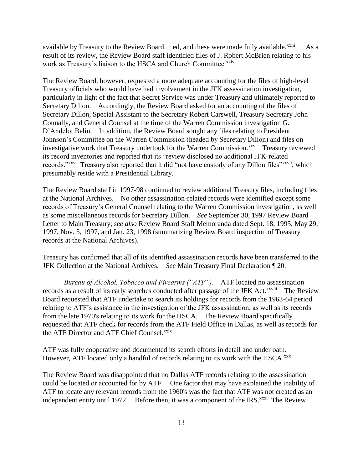available by Treasury to the Review Board. ed, and these were made fully available.<sup>xxiii</sup> As a result of its review, the Review Board staff identified files of J. Robert McBrien relating to his work as Treasury's liaison to the HSCA and Church Committee.<sup>xxiv</sup>

The Review Board, however, requested a more adequate accounting for the files of high-level Treasury officials who would have had involvement in the JFK assassination investigation, particularly in light of the fact that Secret Service was under Treasury and ultimately reported to Secretary Dillon. Accordingly, the Review Board asked for an accounting of the files of Secretary Dillon, Special Assistant to the Secretary Robert Carswell, Treasury Secretary John Connally, and General Counsel at the time of the Warren Commission investigation G. D'Andelot Belin. In addition, the Review Board sought any files relating to President Johnson's Committee on the Warren Commission (headed by Secretary Dillon) and files on investigative work that Treasury undertook for the Warren Commission.<sup>xxv</sup> Treasury reviewed its record inventories and reported that its "review disclosed no additional JFK-related records."<sup>xxvi</sup> Treasury also reported that it did "not have custody of any Dillon files"<sup>xxvii</sup>, which presumably reside with a Presidential Library.

The Review Board staff in 1997-98 continued to review additional Treasury files, including files at the National Archives. No other assassination-related records were identified except some records of Treasury's General Counsel relating to the Warren Commission investigation, as well as some miscellaneous records for Secretary Dillon. *See* September 30, 1997 Review Board Letter to Main Treasury; *see also* Review Board Staff Memoranda dated Sept. 18, 1995, May 29, 1997, Nov. 5, 1997, and Jan. 23, 1998 (summarizing Review Board inspection of Treasury records at the National Archives).

Treasury has confirmed that all of its identified assassination records have been transferred to the JFK Collection at the National Archives. *See* Main Treasury Final Declaration ¶ 20.

*Bureau of Alcohol, Tobacco and Firearms ("ATF").* ATF located no assassination records as a result of its early searches conducted after passage of the JFK Act.<sup>xxviii</sup> The Review Board requested that ATF undertake to search its holdings for records from the 1963-64 period relating to ATF's assistance in the investigation of the JFK assassination, as well as its records from the late 1970's relating to its work for the HSCA. The Review Board specifically requested that ATF check for records from the ATF Field Office in Dallas, as well as records for the ATF Director and ATF Chief Counsel.<sup>xxix</sup>

ATF was fully cooperative and documented its search efforts in detail and under oath. However, ATF located only a handful of records relating to its work with the HSCA.<sup>xxx</sup>

The Review Board was disappointed that no Dallas ATF records relating to the assassination could be located or accounted for by ATF. One factor that may have explained the inability of ATF to locate any relevant records from the 1960's was the fact that ATF was not created as an independent entity until 1972. Before then, it was a component of the IRS.<sup>xxxi</sup> The Review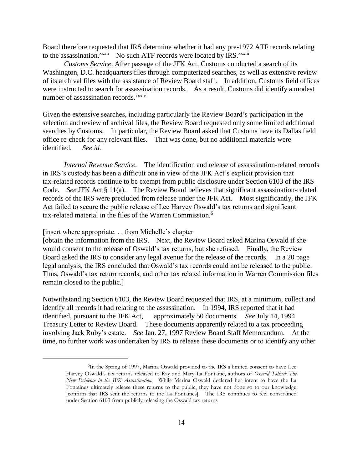Board therefore requested that IRS determine whether it had any pre-1972 ATF records relating to the assassination.<sup>xxxii</sup> No such ATF records were located by IRS.<sup>xxxiii</sup>

*Customs Service*. After passage of the JFK Act, Customs conducted a search of its Washington, D.C. headquarters files through computerized searches, as well as extensive review of its archival files with the assistance of Review Board staff. In addition, Customs field offices were instructed to search for assassination records. As a result, Customs did identify a modest number of assassination records.<sup>xxxiv</sup>

Given the extensive searches, including particularly the Review Board's participation in the selection and review of archival files, the Review Board requested only some limited additional searches by Customs. In particular, the Review Board asked that Customs have its Dallas field office re-check for any relevant files. That was done, but no additional materials were identified. *See id.* 

*Internal Revenue Service.* The identification and release of assassination-related records in IRS's custody has been a difficult one in view of the JFK Act's explicit provision that tax-related records continue to be exempt from public disclosure under Section 6103 of the IRS Code. *See* JFK Act § 11(a). The Review Board believes that significant assassination-related records of the IRS were precluded from release under the JFK Act. Most significantly, the JFK Act failed to secure the public release of Lee Harvey Oswald's tax returns and significant tax-related material in the files of the Warren Commission.<sup>6</sup>

[insert where appropriate. . . from Michelle's chapter

 $\overline{a}$ 

[obtain the information from the IRS. Next, the Review Board asked Marina Oswald if she would consent to the release of Oswald's tax returns, but she refused. Finally, the Review Board asked the IRS to consider any legal avenue for the release of the records. In a 20 page legal analysis, the IRS concluded that Oswald's tax records could not be released to the public. Thus, Oswald's tax return records, and other tax related information in Warren Commission files remain closed to the public.]

Notwithstanding Section 6103, the Review Board requested that IRS, at a minimum, collect and identify all records it had relating to the assassination. In 1994, IRS reported that it had identified, pursuant to the JFK Act, approximately 50 documents. *See* July 14, 1994 Treasury Letter to Review Board. These documents apparently related to a tax proceeding involving Jack Ruby's estate. *See* Jan. 27, 1997 Review Board Staff Memorandum. At the time, no further work was undertaken by IRS to release these documents or to identify any other

<sup>6</sup> In the Spring of 1997, Marina Oswald provided to the IRS a limited consent to have Lee Harvey Oswald's tax returns released to Ray and Mary La Fontaine, authors of *Oswald Talked: The New Evidence in the JFK Assassination.* While Marina Oswald declared her intent to have the La Fontaines ultimately release these returns to the public, they have not done so to our knowledge [confirm that IRS sent the returns to the La Fontaines]. The IRS continues to feel constrained under Section 6103 from publicly releasing the Oswald tax returns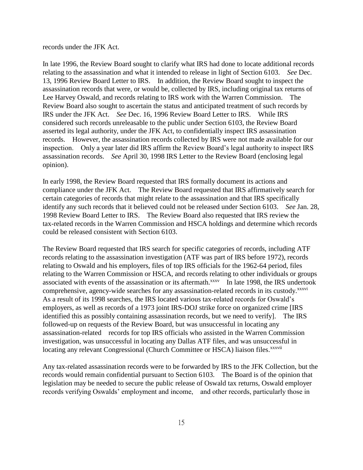records under the JFK Act.

In late 1996, the Review Board sought to clarify what IRS had done to locate additional records relating to the assassination and what it intended to release in light of Section 6103. *See* Dec. 13, 1996 Review Board Letter to IRS. In addition, the Review Board sought to inspect the assassination records that were, or would be, collected by IRS, including original tax returns of Lee Harvey Oswald, and records relating to IRS work with the Warren Commission. The Review Board also sought to ascertain the status and anticipated treatment of such records by IRS under the JFK Act. *See* Dec. 16, 1996 Review Board Letter to IRS. While IRS considered such records unreleasable to the public under Section 6103, the Review Board asserted its legal authority, under the JFK Act, to confidentially inspect IRS assassination records. However, the assassination records collected by IRS were not made available for our inspection. Only a year later did IRS affirm the Review Board's legal authority to inspect IRS assassination records. *See* April 30, 1998 IRS Letter to the Review Board (enclosing legal opinion).

In early 1998, the Review Board requested that IRS formally document its actions and compliance under the JFK Act. The Review Board requested that IRS affirmatively search for certain categories of records that might relate to the assassination and that IRS specifically identify any such records that it believed could not be released under Section 6103. *See* Jan. 28, 1998 Review Board Letter to IRS. The Review Board also requested that IRS review the tax-related records in the Warren Commission and HSCA holdings and determine which records could be released consistent with Section 6103.

The Review Board requested that IRS search for specific categories of records, including ATF records relating to the assassination investigation (ATF was part of IRS before 1972), records relating to Oswald and his employers, files of top IRS officials for the 1962-64 period, files relating to the Warren Commission or HSCA, and records relating to other individuals or groups associated with events of the assassination or its aftermath.<sup>xxxv</sup> In late 1998, the IRS undertook comprehensive, agency-wide searches for any assassination-related records in its custody.<sup>xxxvi</sup> As a result of its 1998 searches, the IRS located various tax-related records for Oswald's employers, as well as records of a 1973 joint IRS-DOJ strike force on organized crime [IRS identified this as possibly containing assassination records, but we need to verify]. The IRS followed-up on requests of the Review Board, but was unsuccessful in locating any assassination-related records for top IRS officials who assisted in the Warren Commission investigation, was unsuccessful in locating any Dallas ATF files, and was unsuccessful in locating any relevant Congressional (Church Committee or HSCA) liaison files.<sup>xxxvii</sup>

Any tax-related assassination records were to be forwarded by IRS to the JFK Collection, but the records would remain confidential pursuant to Section 6103. The Board is of the opinion that legislation may be needed to secure the public release of Oswald tax returns, Oswald employer records verifying Oswalds' employment and income, and other records, particularly those in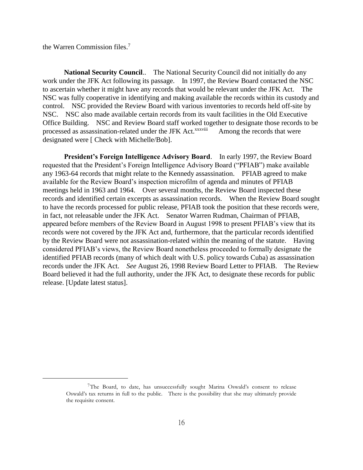the Warren Commission files.<sup>7</sup>

 $\overline{a}$ 

**National Security Council**.. The National Security Council did not initially do any work under the JFK Act following its passage. In 1997, the Review Board contacted the NSC to ascertain whether it might have any records that would be relevant under the JFK Act. The NSC was fully cooperative in identifying and making available the records within its custody and control. NSC provided the Review Board with various inventories to records held off-site by NSC. NSC also made available certain records from its vault facilities in the Old Executive Office Building. NSC and Review Board staff worked together to designate those records to be processed as assassination-related under the JFK Act.<sup>xxxviii</sup> Among the records that were designated were [ Check with Michelle/Bob].

**President's Foreign Intelligence Advisory Board**. In early 1997, the Review Board requested that the President's Foreign Intelligence Advisory Board ("PFIAB") make available any 1963-64 records that might relate to the Kennedy assassination. PFIAB agreed to make available for the Review Board's inspection microfilm of agenda and minutes of PFIAB meetings held in 1963 and 1964. Over several months, the Review Board inspected these records and identified certain excerpts as assassination records. When the Review Board sought to have the records processed for public release, PFIAB took the position that these records were, in fact, not releasable under the JFK Act. Senator Warren Rudman, Chairman of PFIAB, appeared before members of the Review Board in August 1998 to present PFIAB's view that its records were not covered by the JFK Act and, furthermore, that the particular records identified by the Review Board were not assassination-related within the meaning of the statute. Having considered PFIAB's views, the Review Board nonetheless proceeded to formally designate the identified PFIAB records (many of which dealt with U.S. policy towards Cuba) as assassination records under the JFK Act. *See* August 26, 1998 Review Board Letter to PFIAB. The Review Board believed it had the full authority, under the JFK Act, to designate these records for public release. [Update latest status].

<sup>7</sup>The Board, to date, has unsuccessfully sought Marina Oswald's consent to release Oswald's tax returns in full to the public. There is the possibility that she may ultimately provide the requisite consent.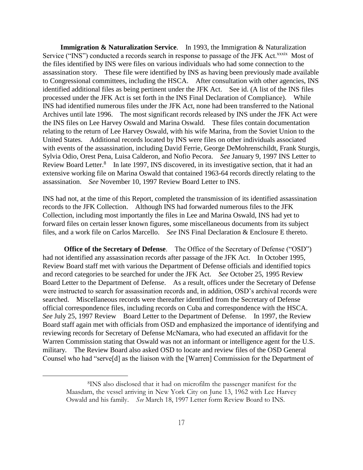**Immigration & Naturalization Service.** In 1993, the Immigration & Naturalization Service ("INS") conducted a records search in response to passage of the JFK Act.<sup>xxxix</sup> Most of the files identified by INS were files on various individuals who had some connection to the assassination story. These file were identified by INS as having been previously made available to Congressional committees, including the HSCA. After consultation with other agencies, INS identified additional files as being pertinent under the JFK Act. See id. (A list of the INS files processed under the JFK Act is set forth in the INS Final Declaration of Compliance). While INS had identified numerous files under the JFK Act, none had been transferred to the National Archives until late 1996. The most significant records released by INS under the JFK Act were the INS files on Lee Harvey Oswald and Marina Oswald. These files contain documentation relating to the return of Lee Harvey Oswald, with his wife Marina, from the Soviet Union to the United States. Additional records located by INS were files on other individuals associated with events of the assassination, including David Ferrie, George DeMohrenschildt, Frank Sturgis, Sylvia Odio, Orest Pena, Luisa Calderon, and Nofio Pecora. *See* January 9, 1997 INS Letter to Review Board Letter.<sup>8</sup> In late 1997, INS discovered, in its investigative section, that it had an extensive working file on Marina Oswald that contained 1963-64 records directly relating to the assassination. *See* November 10, 1997 Review Board Letter to INS.

INS had not, at the time of this Report, completed the transmission of its identified assassination records to the JFK Collection. Although INS had forwarded numerous files to the JFK Collection, including most importantly the files in Lee and Marina Oswald, INS had yet to forward files on certain lesser known figures, some miscellaneous documents from its subject files, and a work file on Carlos Marcello. *See* INS Final Declaration & Enclosure E thereto.

**Office of the Secretary of Defense**. The Office of the Secretary of Defense ("OSD") had not identified any assassination records after passage of the JFK Act. In October 1995, Review Board staff met with various the Department of Defense officials and identified topics and record categories to be searched for under the JFK Act. *See* October 25, 1995 Review Board Letter to the Department of Defense. As a result, offices under the Secretary of Defense were instructed to search for assassination records and, in addition, OSD's archival records were searched. Miscellaneous records were thereafter identified from the Secretary of Defense official correspondence files, including records on Cuba and correspondence with the HSCA. *See* July 25, 1997 Review Board Letter to the Department of Defense. In 1997, the Review Board staff again met with officials from OSD and emphasized the importance of identifying and reviewing records for Secretary of Defense McNamara, who had executed an affidavit for the Warren Commission stating that Oswald was not an informant or intelligence agent for the U.S. military. The Review Board also asked OSD to locate and review files of the OSD General Counsel who had "serve[d] as the liaison with the [Warren] Commission for the Department of

<sup>8</sup>INS also disclosed that it had on microfilm the passenger manifest for the Maasdam, the vessel arriving in New York City on June 13, 1962 with Lee Harvey Oswald and his family. *See* March 18, 1997 Letter form Review Board to INS.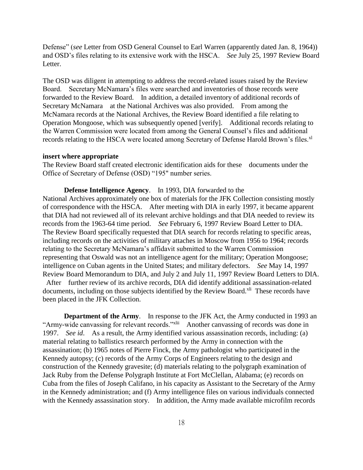Defense" (*see* Letter from OSD General Counsel to Earl Warren (apparently dated Jan. 8, 1964)) and OSD's files relating to its extensive work with the HSCA. *See* July 25, 1997 Review Board Letter.

The OSD was diligent in attempting to address the record-related issues raised by the Review Board. Secretary McNamara's files were searched and inventories of those records were forwarded to the Review Board. In addition, a detailed inventory of additional records of Secretary McNamara at the National Archives was also provided. From among the McNamara records at the National Archives, the Review Board identified a file relating to Operation Mongoose, which was subsequently opened [verify]. Additional records relating to the Warren Commission were located from among the General Counsel's files and additional records relating to the HSCA were located among Secretary of Defense Harold Brown's files.<sup>xl</sup>

#### **insert where appropriate**

The Review Board staff created electronic identification aids for these documents under the Office of Secretary of Defense (OSD) "195" number series.

**Defense Intelligence Agency**. In 1993, DIA forwarded to the National Archives approximately one box of materials for the JFK Collection consisting mostly of correspondence with the HSCA. After meeting with DIA in early 1997, it became apparent that DIA had not reviewed all of its relevant archive holdings and that DIA needed to review its records from the 1963-64 time period. *See* February 6, 1997 Review Board Letter to DIA. The Review Board specifically requested that DIA search for records relating to specific areas, including records on the activities of military attaches in Moscow from 1956 to 1964; records relating to the Secretary McNamara's affidavit submitted to the Warren Commission representing that Oswald was not an intelligence agent for the military; Operation Mongoose; intelligence on Cuban agents in the United States; and military defectors. *See* May 14, 1997 Review Board Memorandum to DIA, and July 2 and July 11, 1997 Review Board Letters to DIA. After further review of its archive records, DIA did identify additional assassination-related documents, including on those subjects identified by the Review Board.<sup>xli</sup> These records have been placed in the JFK Collection.

**Department of the Army.** In response to the JFK Act, the Army conducted in 1993 an "Army-wide canvassing for relevant records."<sup>xlii</sup> Another canvassing of records was done in 1997. *See id*. As a result, the Army identified various assassination records, including: (a) material relating to ballistics research performed by the Army in connection with the assassination; (b) 1965 notes of Pierre Finck, the Army pathologist who participated in the Kennedy autopsy; (c) records of the Army Corps of Engineers relating to the design and construction of the Kennedy gravesite; (d) materials relating to the polygraph examination of Jack Ruby from the Defense Polygraph Institute at Fort McClellan, Alabama; (e) records on Cuba from the files of Joseph Califano, in his capacity as Assistant to the Secretary of the Army in the Kennedy administration; and (f) Army intelligence files on various individuals connected with the Kennedy assassination story. In addition, the Army made available microfilm records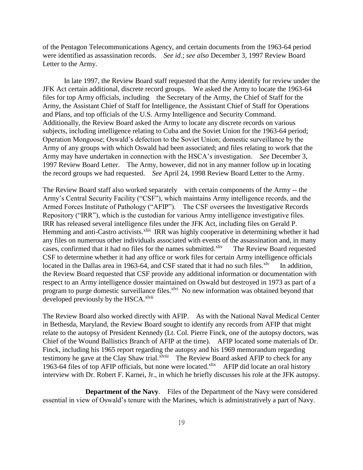of the Pentagon Telecommunications Agency, and certain documents from the 1963-64 period were identified as assassination records. *See id*.; *see also* December 3, 1997 Review Board Letter to the Army.

In late 1997, the Review Board staff requested that the Army identify for review under the JFK Act certain additional, discrete record groups. We asked the Army to locate the 1963-64 files for top Army officials, including the Secretary of the Army, the Chief of Staff for the Army, the Assistant Chief of Staff for Intelligence, the Assistant Chief of Staff for Operations and Plans, and top officials of the U.S. Army Intelligence and Security Command. Additionally, the Review Board asked the Army to locate any discrete records on various subjects, including intelligence relating to Cuba and the Soviet Union for the 1963-64 period; Operation Mongoose; Oswald's defection to the Soviet Union; domestic surveillance by the Army of any groups with which Oswald had been associated; and files relating to work that the Army may have undertaken in connection with the HSCA's investigation. *See* December 3, 1997 Review Board Letter. The Army, however, did not in any manner follow up in locating the record groups we had requested. *See* April 24, 1998 Review Board Letter to the Army.

The Review Board staff also worked separately with certain components of the Army -- the Army's Central Security Facility ("CSF"), which maintains Army intelligence records, and the Armed Forces Institute of Pathology ("AFIP"). The CSF oversees the Investigative Records Repository ("IRR"), which is the custodian for various Army intelligence investigative files. IRR has released several intelligence files under the JFK Act, including files on Gerald P. Hemming and anti-Castro activists.<sup>xliii</sup> IRR was highly cooperative in determining whether it had any files on numerous other individuals associated with events of the assassination and, in many cases, confirmed that it had no files for the names submitted.<sup>xliv</sup> The Review Board requested CSF to determine whether it had any office or work files for certain Army intelligence officials located in the Dallas area in 1963-64, and CSF stated that it had no such files. $x^{1/v}$  In addition, the Review Board requested that CSF provide any additional information or documentation with respect to an Army intelligence dossier maintained on Oswald but destroyed in 1973 as part of a program to purge domestic surveillance files.<sup>xlvi</sup> No new information was obtained beyond that developed previously by the HSCA.<sup>xlvii</sup>

The Review Board also worked directly with AFIP. As with the National Naval Medical Center in Bethesda, Maryland, the Review Board sought to identify any records from AFIP that might relate to the autopsy of President Kennedy (Lt. Col. Pierre Finck, one of the autopsy doctors, was Chief of the Wound Ballistics Branch of AFIP at the time). AFIP located some materials of Dr. Finck, including his 1965 report regarding the autopsy and his 1969 memorandum regarding testimony he gave at the Clay Shaw trial.<sup>xlviii</sup> The Review Board asked AFIP to check for any 1963-64 files of top AFIP officials, but none were located.<sup>xlix</sup> AFIP did locate an oral history interview with Dr. Robert F. Karnei, Jr., in which he briefly discusses his role at the JFK autopsy.

 **Department of the Navy**. Files of the Department of the Navy were considered essential in view of Oswald's tenure with the Marines, which is administratively a part of Navy.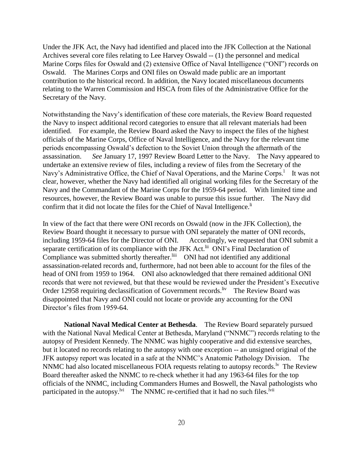Under the JFK Act, the Navy had identified and placed into the JFK Collection at the National Archives several core files relating to Lee Harvey Oswald -- (1) the personnel and medical Marine Corps files for Oswald and (2) extensive Office of Naval Intelligence ("ONI") records on Oswald. The Marines Corps and ONI files on Oswald made public are an important contribution to the historical record. In addition, the Navy located miscellaneous documents relating to the Warren Commission and HSCA from files of the Administrative Office for the Secretary of the Navy.

Notwithstanding the Navy's identification of these core materials, the Review Board requested the Navy to inspect additional record categories to ensure that all relevant materials had been identified. For example, the Review Board asked the Navy to inspect the files of the highest officials of the Marine Corps, Office of Naval Intelligence, and the Navy for the relevant time periods encompassing Oswald's defection to the Soviet Union through the aftermath of the assassination. *See* January 17, 1997 Review Board Letter to the Navy. The Navy appeared to undertake an extensive review of files, including a review of files from the Secretary of the Navy's Administrative Office, the Chief of Naval Operations, and the Marine Corps.<sup>1</sup> It was not clear, however, whether the Navy had identified all original working files for the Secretary of the Navy and the Commandant of the Marine Corps for the 1959-64 period. With limited time and resources, however, the Review Board was unable to pursue this issue further. The Navy did confirm that it did not locate the files for the Chief of Naval Intelligence.<sup>li</sup>

In view of the fact that there were ONI records on Oswald (now in the JFK Collection), the Review Board thought it necessary to pursue with ONI separately the matter of ONI records, including 1959-64 files for the Director of ONI. Accordingly, we requested that ONI submit a separate certification of its compliance with the JFK Act.<sup>lii</sup> ONI's Final Declaration of Compliance was submitted shortly thereafter.<sup>liii</sup> ONI had not identified any additional assassination-related records and, furthermore, had not been able to account for the files of the head of ONI from 1959 to 1964. ONI also acknowledged that there remained additional ONI records that were not reviewed, but that these would be reviewed under the President's Executive Order 12958 requiring declassification of Government records. Iv The Review Board was disappointed that Navy and ONI could not locate or provide any accounting for the ONI Director's files from 1959-64.

 **National Naval Medical Center at Bethesda**. The Review Board separately pursued with the National Naval Medical Center at Bethesda, Maryland ("NNMC") records relating to the autopsy of President Kennedy. The NNMC was highly cooperative and did extensive searches, but it located no records relating to the autopsy with one exception -- an unsigned original of the JFK autopsy report was located in a safe at the NNMC's Anatomic Pathology Division. The NNMC had also located miscellaneous FOIA requests relating to autopsy records.<sup> $\nu$ </sup> The Review Board thereafter asked the NNMC to re-check whether it had any 1963-64 files for the top officials of the NNMC, including Commanders Humes and Boswell, the Naval pathologists who participated in the autopsy.<sup>lvi</sup> The NNMC re-certified that it had no such files.<sup>lvii</sup>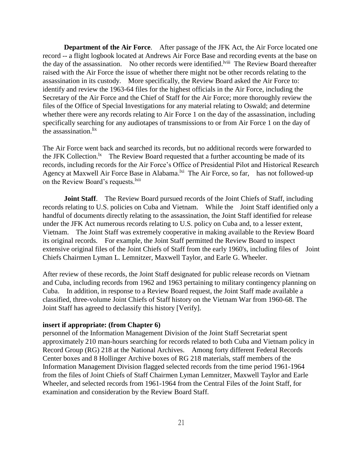**Department of the Air Force.** After passage of the JFK Act, the Air Force located one record -- a flight logbook located at Andrews Air Force Base and recording events at the base on the day of the assassination. No other records were identified.<sup>Iviii</sup> The Review Board thereafter raised with the Air Force the issue of whether there might not be other records relating to the assassination in its custody. More specifically, the Review Board asked the Air Force to: identify and review the 1963-64 files for the highest officials in the Air Force, including the Secretary of the Air Force and the Chief of Staff for the Air Force; more thoroughly review the files of the Office of Special Investigations for any material relating to Oswald; and determine whether there were any records relating to Air Force 1 on the day of the assassination, including specifically searching for any audiotapes of transmissions to or from Air Force 1 on the day of the assassination. ${}^{lix}$ 

The Air Force went back and searched its records, but no additional records were forwarded to the JFK Collection.<sup>1x</sup> The Review Board requested that a further accounting be made of its records, including records for the Air Force's Office of Presidential Pilot and Historical Research Agency at Maxwell Air Force Base in Alabama.<sup>lxi</sup> The Air Force, so far, has not followed-up on the Review Board's requests.<sup>lxii</sup>

**Joint Staff.** The Review Board pursued records of the Joint Chiefs of Staff, including records relating to U.S. policies on Cuba and Vietnam. While the Joint Staff identified only a handful of documents directly relating to the assassination, the Joint Staff identified for release under the JFK Act numerous records relating to U.S. policy on Cuba and, to a lesser extent, Vietnam. The Joint Staff was extremely cooperative in making available to the Review Board its original records. For example, the Joint Staff permitted the Review Board to inspect extensive original files of the Joint Chiefs of Staff from the early 1960's, including files of Joint Chiefs Chairmen Lyman L. Lemnitzer, Maxwell Taylor, and Earle G. Wheeler.

After review of these records, the Joint Staff designated for public release records on Vietnam and Cuba, including records from 1962 and 1963 pertaining to military contingency planning on Cuba. In addition, in response to a Review Board request, the Joint Staff made available a classified, three-volume Joint Chiefs of Staff history on the Vietnam War from 1960-68. The Joint Staff has agreed to declassify this history [Verify].

#### **insert if appropriate: (from Chapter 6)**

personnel of the Information Management Division of the Joint Staff Secretariat spent approximately 210 man-hours searching for records related to both Cuba and Vietnam policy in Record Group (RG) 218 at the National Archives. Among forty different Federal Records Center boxes and 8 Hollinger Archive boxes of RG 218 materials, staff members of the Information Management Division flagged selected records from the time period 1961-1964 from the files of Joint Chiefs of Staff Chairmen Lyman Lemnitzer, Maxwell Taylor and Earle Wheeler, and selected records from 1961-1964 from the Central Files of the Joint Staff, for examination and consideration by the Review Board Staff.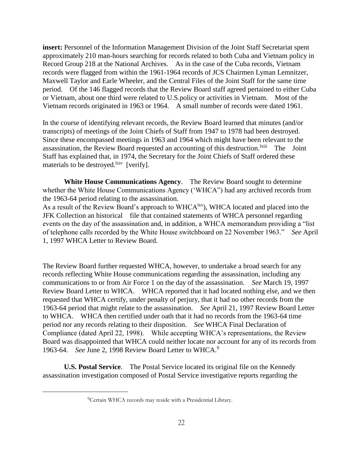**insert:** Personnel of the Information Management Division of the Joint Staff Secretariat spent approximately 210 man-hours searching for records related to both Cuba and Vietnam policy in Record Group 218 at the National Archives. As in the case of the Cuba records, Vietnam records were flagged from within the 1961-1964 records of JCS Chairmen Lyman Lemnitzer, Maxwell Taylor and Earle Wheeler, and the Central Files of the Joint Staff for the same time period. Of the 146 flagged records that the Review Board staff agreed pertained to either Cuba or Vietnam, about one third were related to U.S.policy or activities in Vietnam. Most of the Vietnam records originated in 1963 or 1964. A small number of records were dated 1961.

In the course of identifying relevant records, the Review Board learned that minutes (and/or transcripts) of meetings of the Joint Chiefs of Staff from 1947 to 1978 had been destroyed. Since these encompassed meetings in 1963 and 1964 which might have been relevant to the assassination, the Review Board requested an accounting of this destruction. <sup>Ixiii</sup> The Joint Staff has explained that, in 1974, the Secretary for the Joint Chiefs of Staff ordered these materials to be destroyed.<sup>lxiv</sup> [verify].

**White House Communications Agency**. The Review Board sought to determine whether the White House Communications Agency ('WHCA") had any archived records from the 1963-64 period relating to the assassination.

As a result of the Review Board's approach to WHCA<sup>lxv</sup>), WHCA located and placed into the JFK Collection an historical file that contained statements of WHCA personnel regarding events on the day of the assassination and, in addition, a WHCA memorandum providing a "list of telephone calls recorded by the White House switchboard on 22 November 1963." *See* April 1, 1997 WHCA Letter to Review Board.

The Review Board further requested WHCA, however, to undertake a broad search for any records reflecting White House communications regarding the assassination, including any communications to or from Air Force 1 on the day of the assassination. *See* March 19, 1997 Review Board Letter to WHCA. WHCA reported that it had located nothing else, and we then requested that WHCA certify, under penalty of perjury, that it had no other records from the 1963-64 period that might relate to the assassination. *See* April 21, 1997 Review Board Letter to WHCA. WHCA then certified under oath that it had no records from the 1963-64 time period nor any records relating to their disposition. *See* WHCA Final Declaration of Compliance (dated April 22, 1998). While accepting WHCA's representations, the Review Board was disappointed that WHCA could neither locate nor account for any of its records from 1963-64. *See* June 2, 1998 Review Board Letter to WHCA.<sup>9</sup>

**U.S. Postal Service**. The Postal Service located its original file on the Kennedy assassination investigation composed of Postal Service investigative reports regarding the

<sup>9</sup>Certain WHCA records may reside with a Presidential Library.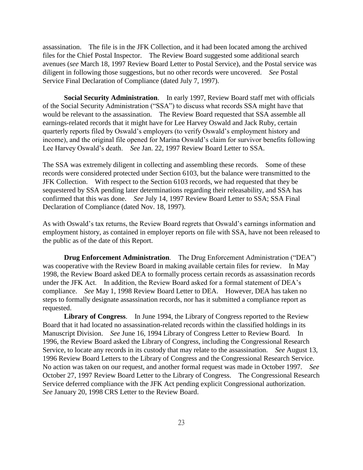assassination. The file is in the JFK Collection, and it had been located among the archived files for the Chief Postal Inspector. The Review Board suggested some additional search avenues (*see* March 18, 1997 Review Board Letter to Postal Service), and the Postal service was diligent in following those suggestions, but no other records were uncovered. *See* Postal Service Final Declaration of Compliance (dated July 7, 1997).

**Social Security Administration**. In early 1997, Review Board staff met with officials of the Social Security Administration ("SSA") to discuss what records SSA might have that would be relevant to the assassination. The Review Board requested that SSA assemble all earnings-related records that it might have for Lee Harvey Oswald and Jack Ruby, certain quarterly reports filed by Oswald's employers (to verify Oswald's employment history and income), and the original file opened for Marina Oswald's claim for survivor benefits following Lee Harvey Oswald's death. *See* Jan. 22, 1997 Review Board Letter to SSA.

The SSA was extremely diligent in collecting and assembling these records. Some of these records were considered protected under Section 6103, but the balance were transmitted to the JFK Collection. With respect to the Section 6103 records, we had requested that they be sequestered by SSA pending later determinations regarding their releasability, and SSA has confirmed that this was done. *See* July 14, 1997 Review Board Letter to SSA; SSA Final Declaration of Compliance (dated Nov. 18, 1997).

As with Oswald's tax returns, the Review Board regrets that Oswald's earnings information and employment history, as contained in employer reports on file with SSA, have not been released to the public as of the date of this Report.

**Drug Enforcement Administration.** The Drug Enforcement Administration ("DEA") was cooperative with the Review Board in making available certain files for review. In May 1998, the Review Board asked DEA to formally process certain records as assassination records under the JFK Act. In addition, the Review Board asked for a formal statement of DEA's compliance. *See* May 1, 1998 Review Board Letter to DEA. However, DEA has taken no steps to formally designate assassination records, nor has it submitted a compliance report as requested.

**Library of Congress**. In June 1994, the Library of Congress reported to the Review Board that it had located no assassination-related records within the classified holdings in its Manuscript Division. *See* June 16, 1994 Library of Congress Letter to Review Board. In 1996, the Review Board asked the Library of Congress, including the Congressional Research Service, to locate any records in its custody that may relate to the assassination. *See* August 13, 1996 Review Board Letters to the Library of Congress and the Congressional Research Service. No action was taken on our request, and another formal request was made in October 1997. *See*  October 27, 1997 Review Board Letter to the Library of Congress. The Congressional Research Service deferred compliance with the JFK Act pending explicit Congressional authorization. *See* January 20, 1998 CRS Letter to the Review Board.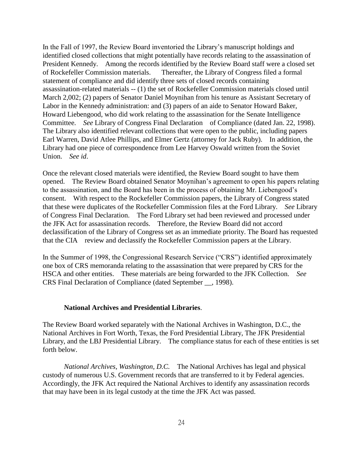In the Fall of 1997, the Review Board inventoried the Library's manuscript holdings and identified closed collections that might potentially have records relating to the assassination of President Kennedy. Among the records identified by the Review Board staff were a closed set of Rockefeller Commission materials. Thereafter, the Library of Congress filed a formal statement of compliance and did identify three sets of closed records containing assassination-related materials -- (1) the set of Rockefeller Commission materials closed until March 2,002; (2) papers of Senator Daniel Moynihan from his tenure as Assistant Secretary of Labor in the Kennedy administration: and (3) papers of an aide to Senator Howard Baker, Howard Liebengood, who did work relating to the assassination for the Senate Intelligence Committee. *See* Library of Congress Final Declaration of Compliance (dated Jan. 22, 1998). The Library also identified relevant collections that were open to the public, including papers Earl Warren, David Atlee Phillips, and Elmer Gertz (attorney for Jack Ruby). In addition, the Library had one piece of correspondence from Lee Harvey Oswald written from the Soviet Union. *See id*.

Once the relevant closed materials were identified, the Review Board sought to have them opened. The Review Board obtained Senator Moynihan's agreement to open his papers relating to the assassination, and the Board has been in the process of obtaining Mr. Liebengood's consent. With respect to the Rockefeller Commission papers, the Library of Congress stated that these were duplicates of the Rockefeller Commission files at the Ford Library. *See* Library of Congress Final Declaration. The Ford Library set had been reviewed and processed under the JFK Act for assassination records. Therefore, the Review Board did not accord declassification of the Library of Congress set as an immediate priority. The Board has requested that the CIA review and declassify the Rockefeller Commission papers at the Library.

In the Summer of 1998, the Congressional Research Service ("CRS") identified approximately one box of CRS memoranda relating to the assassination that were prepared by CRS for the HSCA and other entities. These materials are being forwarded to the JFK Collection. *See* CRS Final Declaration of Compliance (dated September \_\_, 1998).

#### **National Archives and Presidential Libraries**.

The Review Board worked separately with the National Archives in Washington, D.C., the National Archives in Fort Worth, Texas, the Ford Presidential Library, The JFK Presidential Library, and the LBJ Presidential Library. The compliance status for each of these entities is set forth below.

*National Archives, Washington, D.C.* The National Archives has legal and physical custody of numerous U.S. Government records that are transferred to it by Federal agencies. Accordingly, the JFK Act required the National Archives to identify any assassination records that may have been in its legal custody at the time the JFK Act was passed.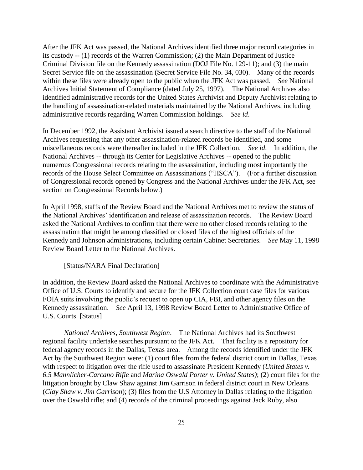After the JFK Act was passed, the National Archives identified three major record categories in its custody -- (1) records of the Warren Commission; (2) the Main Department of Justice Criminal Division file on the Kennedy assassination (DOJ File No. 129-11); and (3) the main Secret Service file on the assassination (Secret Service File No. 34, 030). Many of the records within these files were already open to the public when the JFK Act was passed. *See* National Archives Initial Statement of Compliance (dated July 25, 1997). The National Archives also identified administrative records for the United States Archivist and Deputy Archivist relating to the handling of assassination-related materials maintained by the National Archives, including administrative records regarding Warren Commission holdings. *See id*.

In December 1992, the Assistant Archivist issued a search directive to the staff of the National Archives requesting that any other assassination-related records be identified, and some miscellaneous records were thereafter included in the JFK Collection. *See id*. In addition, the National Archives -- through its Center for Legislative Archives -- opened to the public numerous Congressional records relating to the assassination, including most importantly the records of the House Select Committee on Assassinations ("HSCA"). (For a further discussion of Congressional records opened by Congress and the National Archives under the JFK Act, see section on Congressional Records below.)

In April 1998, staffs of the Review Board and the National Archives met to review the status of the National Archives' identification and release of assassination records. The Review Board asked the National Archives to confirm that there were no other closed records relating to the assassination that might be among classified or closed files of the highest officials of the Kennedy and Johnson administrations, including certain Cabinet Secretaries. *See* May 11, 1998 Review Board Letter to the National Archives.

#### [Status/NARA Final Declaration]

In addition, the Review Board asked the National Archives to coordinate with the Administrative Office of U.S. Courts to identify and secure for the JFK Collection court case files for various FOIA suits involving the public's request to open up CIA, FBI, and other agency files on the Kennedy assassination. *See* April 13, 1998 Review Board Letter to Administrative Office of U.S. Courts. [Status]

*National Archives, Southwest Region*. The National Archives had its Southwest regional facility undertake searches pursuant to the JFK Act. That facility is a repository for federal agency records in the Dallas, Texas area. Among the records identified under the JFK Act by the Southwest Region were: (1) court files from the federal district court in Dallas, Texas with respect to litigation over the rifle used to assassinate President Kennedy (*United States v. 6.5 Mannlicher-Carcano Rifle* and *Marina Oswald Porter v. United States)*; (2) court files for the litigation brought by Claw Shaw against Jim Garrison in federal district court in New Orleans (*Clay Shaw v. Jim Garrison*); (3) files from the U.S Attorney in Dallas relating to the litigation over the Oswald rifle; and (4) records of the criminal proceedings against Jack Ruby, also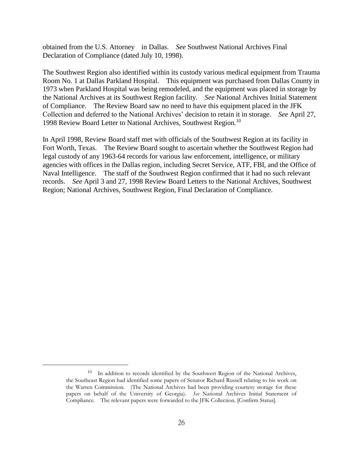obtained from the U.S. Attorney in Dallas. *See* Southwest National Archives Final Declaration of Compliance (dated July 10, 1998).

The Southwest Region also identified within its custody various medical equipment from Trauma Room No. 1 at Dallas Parkland Hospital. This equipment was purchased from Dallas County in 1973 when Parkland Hospital was being remodeled, and the equipment was placed in storage by the National Archives at its Southwest Region facility. *See* National Archives Initial Statement of Compliance. The Review Board saw no need to have this equipment placed in the JFK Collection and deferred to the National Archives' decision to retain it in storage. *See* April 27, 1998 Review Board Letter to National Archives, Southwest Region.<sup>10</sup>

In April 1998, Review Board staff met with officials of the Southwest Region at its facility in Fort Worth, Texas. The Review Board sought to ascertain whether the Southwest Region had legal custody of any 1963-64 records for various law enforcement, intelligence, or military agencies with offices in the Dallas region, including Secret Service, ATF, FBI, and the Office of Naval Intelligence. The staff of the Southwest Region confirmed that it had no such relevant records. *See* April 3 and 27, 1998 Review Board Letters to the National Archives, Southwest Region; National Archives, Southwest Region, Final Declaration of Compliance.

<sup>&</sup>lt;sup>10</sup> In addition to records identified by the Southwest Region of the National Archives, the Southeast Region had identified some papers of Senator Richard Russell relating to his work on the Warren Commission. (The National Archives had been providing courtesy storage for these papers on behalf of the University of Georgia). *See* National Archives Initial Statement of Compliance. The relevant papers were forwarded to the JFK Collection. [Confirm Status].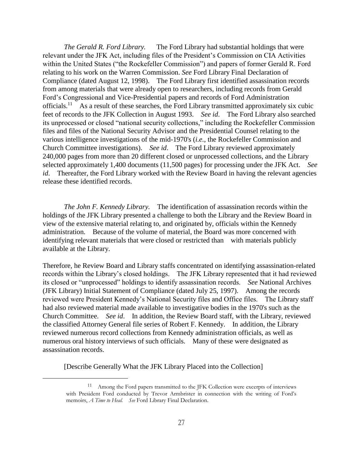*The Gerald R. Ford Library.* The Ford Library had substantial holdings that were relevant under the JFK Act, including files of the President's Commission on CIA Activities within the United States ("the Rockefeller Commission") and papers of former Gerald R. Ford relating to his work on the Warren Commission. *See* Ford Library Final Declaration of Compliance (dated August 12, 1998). The Ford Library first identified assassination records from among materials that were already open to researchers, including records from Gerald Ford's Congressional and Vice-Presidential papers and records of Ford Administration officials.<sup>11</sup> As a result of these searches, the Ford Library transmitted approximately six cubic feet of records to the JFK Collection in August 1993. *See id*. The Ford Library also searched its unprocessed or closed "national security collections," including the Rockefeller Commission files and files of the National Security Advisor and the Presidential Counsel relating to the various intelligence investigations of the mid-1970's (*i.e.,* the Rockefeller Commission and Church Committee investigations). *See id*. The Ford Library reviewed approximately 240,000 pages from more than 20 different closed or unprocessed collections, and the Library selected approximately 1,400 documents (11,500 pages) for processing under the JFK Act. *See id.* Thereafter, the Ford Library worked with the Review Board in having the relevant agencies release these identified records.

*The John F. Kennedy Library.* The identification of assassination records within the holdings of the JFK Library presented a challenge to both the Library and the Review Board in view of the extensive material relating to, and originated by, officials within the Kennedy administration. Because of the volume of material, the Board was more concerned with identifying relevant materials that were closed or restricted than with materials publicly available at the Library.

Therefore, he Review Board and Library staffs concentrated on identifying assassination-related records within the Library's closed holdings. The JFK Library represented that it had reviewed its closed or "unprocessed" holdings to identify assassination records. *See* National Archives (JFK Library) Initial Statement of Compliance (dated July 25, 1997). Among the records reviewed were President Kennedy's National Security files and Office files. The Library staff had also reviewed material made available to investigative bodies in the 1970's such as the Church Committee. *See id*. In addition, the Review Board staff, with the Library, reviewed the classified Attorney General file series of Robert F. Kennedy. In addition, the Library reviewed numerous record collections from Kennedy administration officials, as well as numerous oral history interviews of such officials. Many of these were designated as assassination records.

[Describe Generally What the JFK Library Placed into the Collection]

<sup>&</sup>lt;sup>11</sup> Among the Ford papers transmitted to the JFK Collection were excerpts of interviews with President Ford conducted by Trevor Armbrister in connection with the writing of Ford's memoirs, *A Time to Heal. See* Ford Library Final Declaration.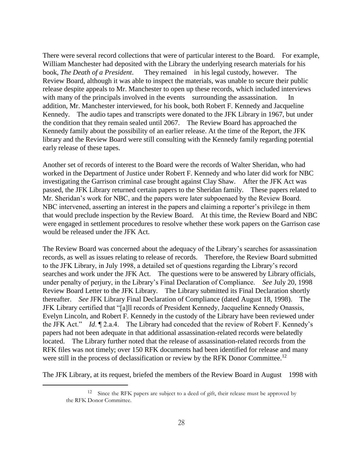There were several record collections that were of particular interest to the Board. For example, William Manchester had deposited with the Library the underlying research materials for his book, *The Death of a President*. They remained in his legal custody, however. The Review Board, although it was able to inspect the materials, was unable to secure their public release despite appeals to Mr. Manchester to open up these records, which included interviews with many of the principals involved in the events surrounding the assassination. In addition, Mr. Manchester interviewed, for his book, both Robert F. Kennedy and Jacqueline Kennedy. The audio tapes and transcripts were donated to the JFK Library in 1967, but under the condition that they remain sealed until 2067. The Review Board has approached the Kennedy family about the possibility of an earlier release. At the time of the Report, the JFK library and the Review Board were still consulting with the Kennedy family regarding potential early release of these tapes.

Another set of records of interest to the Board were the records of Walter Sheridan, who had worked in the Department of Justice under Robert F. Kennedy and who later did work for NBC investigating the Garrison criminal case brought against Clay Shaw. After the JFK Act was passed, the JFK Library returned certain papers to the Sheridan family. These papers related to Mr. Sheridan's work for NBC, and the papers were later subpoenaed by the Review Board. NBC intervened, asserting an interest in the papers and claiming a reporter's privilege in them that would preclude inspection by the Review Board. At this time, the Review Board and NBC were engaged in settlement procedures to resolve whether these work papers on the Garrison case would be released under the JFK Act.

The Review Board was concerned about the adequacy of the Library's searches for assassination records, as well as issues relating to release of records. Therefore, the Review Board submitted to the JFK Library, in July 1998, a detailed set of questions regarding the Library's record searches and work under the JFK Act. The questions were to be answered by Library officials, under penalty of perjury, in the Library's Final Declaration of Compliance. *See* July 20, 1998 Review Board Letter to the JFK Library. The Library submitted its Final Declaration shortly thereafter. *See* JFK Library Final Declaration of Compliance (dated August 18, 1998). The JFK Library certified that "[a]ll records of President Kennedy, Jacqueline Kennedy Onassis, Evelyn Lincoln, and Robert F. Kennedy in the custody of the Library have been reviewed under the JFK Act." *Id*. ¶ 2.a.4. The Library had conceded that the review of Robert F. Kennedy's papers had not been adequate in that additional assassination-related records were belatedly located. The Library further noted that the release of assassination-related records from the RFK files was not timely; over 150 RFK documents had been identified for release and many were still in the process of declassification or review by the RFK Donor Committee.<sup>12</sup>

The JFK Library, at its request, briefed the members of the Review Board in August 1998 with

<sup>&</sup>lt;sup>12</sup> Since the RFK papers are subject to a deed of gift, their release must be approved by the RFK Donor Committee.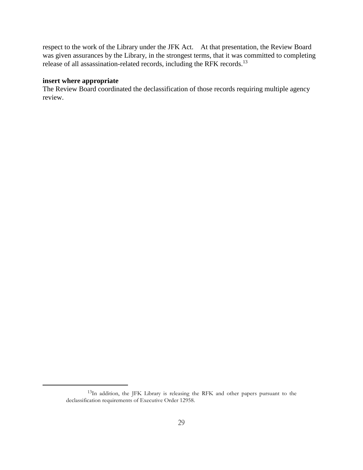respect to the work of the Library under the JFK Act. At that presentation, the Review Board was given assurances by the Library, in the strongest terms, that it was committed to completing release of all assassination-related records, including the RFK records.<sup>13</sup>

# **insert where appropriate**

 $\overline{a}$ 

The Review Board coordinated the declassification of those records requiring multiple agency review.

<sup>13</sup>In addition, the JFK Library is releasing the RFK and other papers pursuant to the declassification requirements of Executive Order 12958.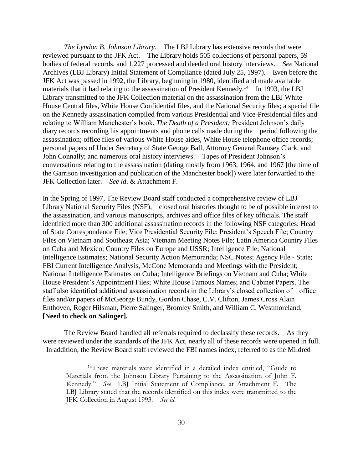*The Lyndon B. Johnson Library*. The LBJ Library has extensive records that were reviewed pursuant to the JFK Act. The Library holds 505 collections of personal papers, 59 bodies of federal records, and 1,227 processed and deeded oral history interviews. *See* National Archives (LBJ Library) Initial Statement of Compliance (dated July 25, 1997). Even before the JFK Act was passed in 1992, the Library, beginning in 1980, identified and made available materials that it had relating to the assassination of President Kennedy.<sup>14</sup> In 1993, the LBJ Library transmitted to the JFK Collection material on the assassination from the LBJ White House Central files, White House Confidential files, and the National Security files; a special file on the Kennedy assassination compiled from various Presidential and Vice-Presidential files and relating to William Manchester's book, *The Death of a President;* President Johnson's daily diary records recording his appointments and phone calls made during the period following the assassination; office files of various White House aides, White House telephone office records; personal papers of Under Secretary of State George Ball, Attorney General Ramsey Clark, and John Connally; and numerous oral history interviews. Tapes of President Johnson's conversations relating to the assassination (dating mostly from 1963, 1964, and 1967 [the time of the Garrison investigation and publication of the Manchester book]) were later forwarded to the JFK Collection later. *See id*. & Attachment F.

In the Spring of 1997, The Review Board staff conducted a comprehensive review of LBJ Library National Security Files (NSF), closed oral histories thought to be of possible interest to the assassination, and various manuscripts, archives and office files of key officials. The staff identified more than 300 additional assassination records in the following NSF categories: Head of State Correspondence File; Vice Presidential Security File; President's Speech File; Country Files on Vietnam and Southeast Asia; Vietnam Meeting Notes File; Latin America Country Files on Cuba and Mexico; Country Files on Europe and USSR; Intelligence File; National Intelligence Estimates; National Security Action Memoranda; NSC Notes; Agency File - State; FBI Current Intelligence Analysis, McCone Memoranda and Meetings with the President; National Intelligence Estimates on Cuba; Intelligence Briefings on Vietnam and Cuba; White House President's Appointment Files; White House Famous Names; and Cabinet Papers. The staff also identified additional assassination records in the Library's closed collection of office files and/or papers of McGeorge Bundy, Gordan Chase, C.V. Clifton, James Cross Alain Enthoven, Roger Hilsman, Pierre Salinger, Bromley Smith, and William C. Westmoreland. **[Need to check on Salinger].**

The Review Board handled all referrals required to declassify these records. As they were reviewed under the standards of the JFK Act, nearly all of these records were opened in full. In addition, the Review Board staff reviewed the FBI names index, referred to as the Mildred

<sup>14</sup>These materials were identified in a detailed index entitled, "Guide to Materials from the Johnson Library Pertaining to the Assassination of John F. Kennedy." *See* LBJ Initial Statement of Compliance, at Attachment F. The LBJ Library stated that the records identified on this index were transmitted to the JFK Collection in August 1993. *See id*.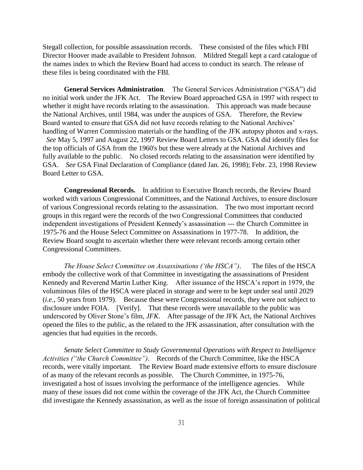Stegall collection, for possible assassination records. These consisted of the files which FBI Director Hoover made available to President Johnson. Mildred Stegall kept a card catalogue of the names index to which the Review Board had access to conduct its search. The release of these files is being coordinated with the FBI.

**General Services Administration**. The General Services Administration ("GSA") did no initial work under the JFK Act. The Review Board approached GSA in 1997 with respect to whether it might have records relating to the assassination. This approach was made because the National Archives, until 1984, was under the auspices of GSA. Therefore, the Review Board wanted to ensure that GSA did not have records relating to the National Archives' handling of Warren Commission materials or the handling of the JFK autopsy photos and x-rays. *See* May 5, 1997 and August 22, 1997 Review Board Letters to GSA. GSA did identify files for the top officials of GSA from the 1960's but these were already at the National Archives and fully available to the public. No closed records relating to the assassination were identified by GSA. *See* GSA Final Declaration of Compliance (dated Jan. 26, 1998); Febr. 23, 1998 Review Board Letter to GSA.

**Congressional Records.** In addition to Executive Branch records, the Review Board worked with various Congressional Committees, and the National Archives, to ensure disclosure of various Congressional records relating to the assassination. The two most important record groups in this regard were the records of the two Congressional Committees that conducted independent investigations of President Kennedy's assassination --- the Church Committee in 1975-76 and the House Select Committee on Assassinations in 1977-78. In addition, the Review Board sought to ascertain whether there were relevant records among certain other Congressional Committees.

*The House Select Committee on Assassinations ('the HSCA")*. The files of the HSCA embody the collective work of that Committee in investigating the assassinations of President Kennedy and Reverend Martin Luther King. After issuance of the HSCA's report in 1979, the voluminous files of the HSCA were placed in storage and were to be kept under seal until 2029 (*i.e.*, 50 years from 1979). Because these were Congressional records, they were not subject to disclosure under FOIA. [Verify]. That these records were unavailable to the public was underscored by Oliver Stone's film, *JFK*. After passage of the JFK Act, the National Archives opened the files to the public, as the related to the JFK assassination, after consultation with the agencies that had equities in the records.

*Senate Select Committee to Study Governmental Operations with Respect to Intelligence Activities ("the Church Committee")*. Records of the Church Committee, like the HSCA records, were vitally important. The Review Board made extensive efforts to ensure disclosure of as many of the relevant records as possible. The Church Committee, in 1975-76, investigated a host of issues involving the performance of the intelligence agencies. While many of these issues did not come within the coverage of the JFK Act, the Church Committee did investigate the Kennedy assassination, as well as the issue of foreign assassination of political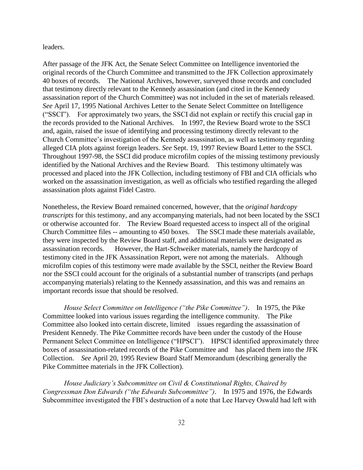leaders.

After passage of the JFK Act, the Senate Select Committee on Intelligence inventoried the original records of the Church Committee and transmitted to the JFK Collection approximately 40 boxes of records. The National Archives, however, surveyed those records and concluded that testimony directly relevant to the Kennedy assassination (and cited in the Kennedy assassination report of the Church Committee) was not included in the set of materials released. *See* April 17, 1995 National Archives Letter to the Senate Select Committee on Intelligence ("SSCI"). For approximately two years, the SSCI did not explain or rectify this crucial gap in the records provided to the National Archives. In 1997, the Review Board wrote to the SSCI and, again, raised the issue of identifying and processing testimony directly relevant to the Church Committee's investigation of the Kennedy assassination, as well as testimony regarding alleged CIA plots against foreign leaders. *See* Sept. 19, 1997 Review Board Letter to the SSCI. Throughout 1997-98, the SSCI did produce microfilm copies of the missing testimony previously identified by the National Archives and the Review Board. This testimony ultimately was processed and placed into the JFK Collection, including testimony of FBI and CIA officials who worked on the assassination investigation, as well as officials who testified regarding the alleged assassination plots against Fidel Castro.

Nonetheless, the Review Board remained concerned, however, that the *original hardcopy transcripts* for this testimony, and any accompanying materials, had not been located by the SSCI or otherwise accounted for. The Review Board requested access to inspect all of the original Church Committee files -- amounting to 450 boxes. The SSCI made these materials available, they were inspected by the Review Board staff, and additional materials were designated as assassination records. However, the Hart-Schweiker materials, namely the hardcopy of testimony cited in the JFK Assassination Report, were not among the materials. Although microfilm copies of this testimony were made available by the SSCI, neither the Review Board nor the SSCI could account for the originals of a substantial number of transcripts (and perhaps accompanying materials) relating to the Kennedy assassination, and this was and remains an important records issue that should be resolved.

*House Select Committee on Intelligence ("the Pike Committee")*. In 1975, the Pike Committee looked into various issues regarding the intelligence community. The Pike Committee also looked into certain discrete, limited issues regarding the assassination of President Kennedy. The Pike Committee records have been under the custody of the House Permanent Select Committee on Intelligence ("HPSCI"). HPSCI identified approximately three boxes of assassination-related records of the Pike Committee and has placed them into the JFK Collection. *See* April 20, 1995 Review Board Staff Memorandum (describing generally the Pike Committee materials in the JFK Collection).

*House Judiciary's Subcommittee on Civil & Constitutional Rights, Chaired by Congressman Don Edwards ("the Edwards Subcommittee")*. In 1975 and 1976, the Edwards Subcommittee investigated the FBI's destruction of a note that Lee Harvey Oswald had left with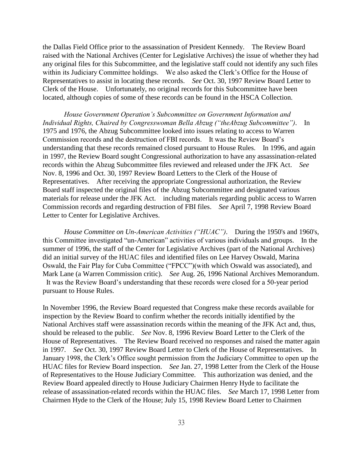the Dallas Field Office prior to the assassination of President Kennedy. The Review Board raised with the National Archives (Center for Legislative Archives) the issue of whether they had any original files for this Subcommittee, and the legislative staff could not identify any such files within its Judiciary Committee holdings. We also asked the Clerk's Office for the House of Representatives to assist in locating these records. *See* Oct. 30, 1997 Review Board Letter to Clerk of the House. Unfortunately, no original records for this Subcommittee have been located, although copies of some of these records can be found in the HSCA Collection.

*House Government Operation's Subcommittee on Government Information and Individual Rights, Chaired by Congresswoman Bella Abzug ("theAbzug Subcommittee")*. In 1975 and 1976, the Abzug Subcommittee looked into issues relating to access to Warren Commission records and the destruction of FBI records. It was the Review Board's understanding that these records remained closed pursuant to House Rules. In 1996, and again in 1997, the Review Board sought Congressional authorization to have any assassination-related records within the Abzug Subcommittee files reviewed and released under the JFK Act. *See* Nov. 8, 1996 and Oct. 30, 1997 Review Board Letters to the Clerk of the House of Representatives. After receiving the appropriate Congressional authorization, the Review Board staff inspected the original files of the Abzug Subcommittee and designated various materials for release under the JFK Act. including materials regarding public access to Warren Commission records and regarding destruction of FBI files. *See* April 7, 1998 Review Board Letter to Center for Legislative Archives.

*House Committee on Un-American Activities ("HUAC")*. During the 1950's and 1960's, this Committee investigated "un-American" activities of various individuals and groups. In the summer of 1996, the staff of the Center for Legislative Archives (part of the National Archives) did an initial survey of the HUAC files and identified files on Lee Harvey Oswald, Marina Oswald, the Fair Play for Cuba Committee ("FPCC")(with which Oswald was associated), and Mark Lane (a Warren Commission critic). *See* Aug. 26, 1996 National Archives Memorandum. It was the Review Board's understanding that these records were closed for a 50-year period pursuant to House Rules.

In November 1996, the Review Board requested that Congress make these records available for inspection by the Review Board to confirm whether the records initially identified by the National Archives staff were assassination records within the meaning of the JFK Act and, thus, should be released to the public. *See* Nov. 8, 1996 Review Board Letter to the Clerk of the House of Representatives. The Review Board received no responses and raised the matter again in 1997. *See* Oct. 30, 1997 Review Board Letter to Clerk of the House of Representatives. In January 1998, the Clerk's Office sought permission from the Judiciary Committee to open up the HUAC files for Review Board inspection. *See* Jan. 27, 1998 Letter from the Clerk of the House of Representatives to the House Judiciary Committee. This authorization was denied, and the Review Board appealed directly to House Judiciary Chairmen Henry Hyde to facilitate the release of assassination-related records within the HUAC files. *See* March 17, 1998 Letter from Chairmen Hyde to the Clerk of the House; July 15, 1998 Review Board Letter to Chairmen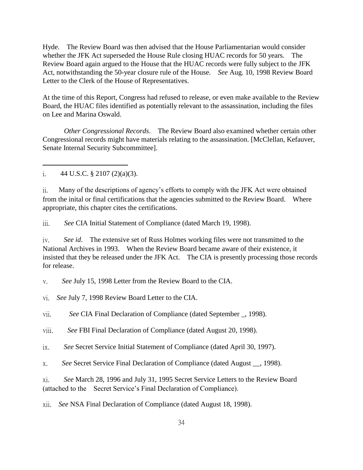Hyde. The Review Board was then advised that the House Parliamentarian would consider whether the JFK Act superseded the House Rule closing HUAC records for 50 years. The Review Board again argued to the House that the HUAC records were fully subject to the JFK Act, notwithstanding the 50-year closure rule of the House. *See* Aug. 10, 1998 Review Board Letter to the Clerk of the House of Representatives.

At the time of this Report, Congress had refused to release, or even make available to the Review Board, the HUAC files identified as potentially relevant to the assassination, including the files on Lee and Marina Oswald.

*Other Congressional Records*. The Review Board also examined whether certain other Congressional records might have materials relating to the assassination. [McClellan, Kefauver, Senate Internal Security Subcommittee].

i.  $44 \text{ U.S.C.} \& 2107 \text{ (2)(a)(3)}.$ 

 $\overline{a}$ 

ii. Many of the descriptions of agency's efforts to comply with the JFK Act were obtained from the inital or final certifications that the agencies submitted to the Review Board. Where appropriate, this chapter cites the certifications.

iii. *See* CIA Initial Statement of Compliance (dated March 19, 1998).

iv. *See id*. The extensive set of Russ Holmes working files were not transmitted to the National Archives in 1993. When the Review Board became aware of their existence, it insisted that they be released under the JFK Act. The CIA is presently processing those records for release.

v. *See* July 15, 1998 Letter from the Review Board to the CIA.

vi. *See* July 7, 1998 Review Board Letter to the CIA.

vii. *See* CIA Final Declaration of Compliance (dated September \_, 1998).

viii. *See* FBI Final Declaration of Compliance (dated August 20, 1998).

ix. *See* Secret Service Initial Statement of Compliance (dated April 30, 1997).

x. *See* Secret Service Final Declaration of Compliance (dated August \_\_, 1998).

xi. *See* March 28, 1996 and July 31, 1995 Secret Service Letters to the Review Board (attached to the Secret Service's Final Declaration of Compliance).

xii. *See* NSA Final Declaration of Compliance (dated August 18, 1998).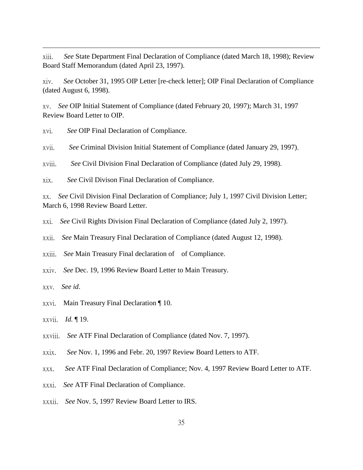xiii. *See* State Department Final Declaration of Compliance (dated March 18, 1998); Review Board Staff Memorandum (dated April 23, 1997).

xiv. *See* October 31, 1995 OIP Letter [re-check letter]; OIP Final Declaration of Compliance (dated August 6, 1998).

xv. *See* OIP Initial Statement of Compliance (dated February 20, 1997); March 31, 1997 Review Board Letter to OIP.

xvi. *See* OIP Final Declaration of Compliance.

xvii. *See* Criminal Division Initial Statement of Compliance (dated January 29, 1997).

xviii. *See* Civil Division Final Declaration of Compliance (dated July 29, 1998).

xix. *See* Civil Divison Final Declaration of Compliance.

xx. *See* Civil Division Final Declaration of Compliance; July 1, 1997 Civil Division Letter; March 6, 1998 Review Board Letter.

xxi. *See* Civil Rights Division Final Declaration of Compliance (dated July 2, 1997).

xxii. *See* Main Treasury Final Declaration of Compliance (dated August 12, 1998).

xxiii. *See* Main Treasury Final declaration of of Compliance.

xxiv. *See* Dec. 19, 1996 Review Board Letter to Main Treasury.

xxv. *See id*.

 $\overline{a}$ 

xxvi. Main Treasury Final Declaration ¶ 10.

xxvii. *Id.* ¶ 19.

xxviii. *See* ATF Final Declaration of Compliance (dated Nov. 7, 1997).

xxix. *See* Nov. 1, 1996 and Febr. 20, 1997 Review Board Letters to ATF.

xxx. *See* ATF Final Declaration of Compliance; Nov. 4, 1997 Review Board Letter to ATF.

xxxi. *See* ATF Final Declaration of Compliance.

xxxii. *See* Nov. 5, 1997 Review Board Letter to IRS.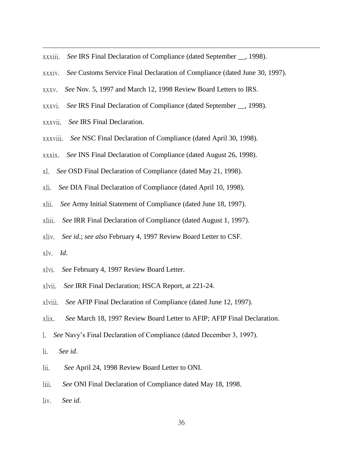- xxxiii. *See* IRS Final Declaration of Compliance (dated September \_\_, 1998).
- xxxiv. *See* Customs Service Final Declaration of Compliance (dated June 30, 1997).
- xxxv. *See* Nov. 5, 1997 and March 12, 1998 Review Board Letters to IRS.
- xxxvi. *See* IRS Final Declaration of Compliance (dated September \_\_, 1998).
- xxxvii. *See* IRS Final Declaration.
- xxxviii. *See* NSC Final Declaration of Compliance (dated April 30, 1998).
- xxxix. *See* INS Final Declaration of Compliance (dated August 26, 1998).
- xl. *See* OSD Final Declaration of Compliance (dated May 21, 1998).
- xli. *See* DIA Final Declaration of Compliance (dated April 10, 1998).
- xlii. *See* Army Initial Statement of Compliance (dated June 18, 1997).
- xliii. *See* IRR Final Declaration of Compliance (dated August 1, 1997).
- xliv. *See id*.; *see also* February 4, 1997 Review Board Letter to CSF.
- xlv. *Id.*

- xlvi. *See* February 4, 1997 Review Board Letter.
- xlvii. *See* IRR Final Declaration; HSCA Report, at 221-24.
- xlviii. *See* AFIP Final Declaration of Compliance (dated June 12, 1997).
- xlix. *See* March 18, 1997 Review Board Letter to AFIP; AFIP Final Declaration.
- l. *See* Navy's Final Declaration of Compliance (dated December 3, 1997).
- li. *See id*.
- lii. *See* April 24, 1998 Review Board Letter to ONI.
- liii. *See* ONI Final Declaration of Compliance dated May 18, 1998.
- liv. *See id*.